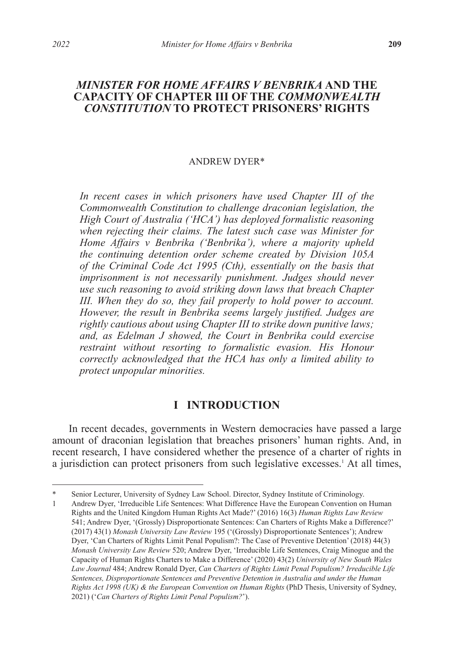## *MINISTER FOR HOME AFFAIRS V BENBRIKA* **AND THE CAPACITY OF CHAPTER III OF THE** *COMMONWEALTH CONSTITUTION* **TO PROTECT PRISONERS' RIGHTS**

#### ANDREW DYER\*

In recent cases in which prisoners have used Chapter III of the *Commonwealth Constitution to challenge draconian legislation, the High Court of Australia ('HCA') has deployed formalistic reasoning when rejecting their claims. The latest such case was Minister for Home Affairs v Benbrika ('Benbrika'), where a majority upheld the continuing detention order scheme created by Division 105A of the Criminal Code Act 1995 (Cth), essentially on the basis that imprisonment is not necessarily punishment. Judges should never use such reasoning to avoid striking down laws that breach Chapter III. When they do so, they fail properly to hold power to account. However, the result in Benbrika seems largely justified. Judges are rightly cautious about using Chapter III to strike down punitive laws; and, as Edelman J showed, the Court in Benbrika could exercise restraint without resorting to formalistic evasion. His Honour correctly acknowledged that the HCA has only a limited ability to protect unpopular minorities.*

## **I INTRODUCTION**

In recent decades, governments in Western democracies have passed a large amount of draconian legislation that breaches prisoners' human rights. And, in recent research, I have considered whether the presence of a charter of rights in a jurisdiction can protect prisoners from such legislative excesses.<sup>1</sup> At all times,

Senior Lecturer, University of Sydney Law School. Director, Sydney Institute of Criminology.

<sup>1</sup> Andrew Dyer, 'Irreducible Life Sentences: What Difference Have the European Convention on Human Rights and the United Kingdom Human Rights Act Made?' (2016) 16(3) *Human Rights Law Review*  541; Andrew Dyer, '(Grossly) Disproportionate Sentences: Can Charters of Rights Make a Difference?' (2017) 43(1) *Monash University Law Review* 195 ('(Grossly) Disproportionate Sentences'); Andrew Dyer, 'Can Charters of Rights Limit Penal Populism?: The Case of Preventive Detention' (2018) 44(3) *Monash University Law Review* 520; Andrew Dyer, 'Irreducible Life Sentences, Craig Minogue and the Capacity of Human Rights Charters to Make a Difference' (2020) 43(2) *University of New South Wales Law Journal* 484; Andrew Ronald Dyer, *Can Charters of Rights Limit Penal Populism? Irreducible Life Sentences, Disproportionate Sentences and Preventive Detention in Australia and under the Human Rights Act 1998 (UK) & the European Convention on Human Rights* (PhD Thesis, University of Sydney, 2021) ('*Can Charters of Rights Limit Penal Populism?*').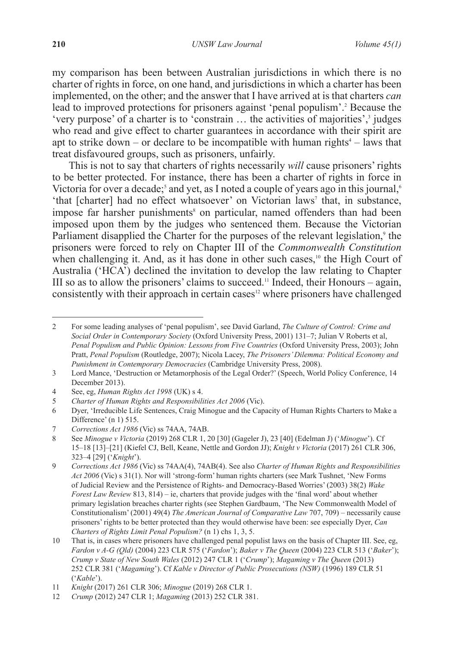my comparison has been between Australian jurisdictions in which there is no charter of rights in force, on one hand, and jurisdictions in which a charter has been implemented, on the other; and the answer that I have arrived at is that charters *can*  lead to improved protections for prisoners against 'penal populism'.<sup>2</sup> Because the 'very purpose' of a charter is to 'constrain ... the activities of majorities',<sup>3</sup> judges who read and give effect to charter guarantees in accordance with their spirit are apt to strike down – or declare to be incompatible with human rights<sup>4</sup> – laws that treat disfavoured groups, such as prisoners, unfairly.

This is not to say that charters of rights necessarily *will* cause prisoners' rights to be better protected. For instance, there has been a charter of rights in force in Victoria for over a decade;<sup>5</sup> and yet, as I noted a couple of years ago in this journal,<sup>6</sup> 'that [charter] had no effect whatsoever' on Victorian laws' that, in substance, impose far harsher punishments<sup>8</sup> on particular, named offenders than had been imposed upon them by the judges who sentenced them. Because the Victorian Parliament disapplied the Charter for the purposes of the relevant legislation,<sup>9</sup> the prisoners were forced to rely on Chapter III of the *Commonwealth Constitution* when challenging it. And, as it has done in other such cases,<sup>10</sup> the High Court of Australia ('HCA') declined the invitation to develop the law relating to Chapter III so as to allow the prisoners' claims to succeed.<sup>11</sup> Indeed, their Honours – again, consistently with their approach in certain cases<sup>12</sup> where prisoners have challenged

<sup>2</sup> For some leading analyses of 'penal populism', see David Garland, *The Culture of Control: Crime and Social Order in Contemporary Society* (Oxford University Press, 2001) 131–7; Julian V Roberts et al, *Penal Populism and Public Opinion: Lessons from Five Countries* (Oxford University Press, 2003); John Pratt, *Penal Populism* (Routledge, 2007); Nicola Lacey, *The Prisoners' Dilemma: Political Economy and Punishment in Contemporary Democracies* (Cambridge University Press, 2008).

<sup>3</sup> Lord Mance, 'Destruction or Metamorphosis of the Legal Order?' (Speech, World Policy Conference, 14 December 2013).

<sup>4</sup> See, eg, *Human Rights Act 1998* (UK) s 4.

<sup>5</sup> *Charter of Human Rights and Responsibilities Act 2006* (Vic).

<sup>6</sup> Dyer, 'Irreducible Life Sentences, Craig Minogue and the Capacity of Human Rights Charters to Make a Difference' (n 1) 515.

<sup>7</sup> *Corrections Act 1986* (Vic) ss 74AA, 74AB.

<sup>8</sup> See *Minogue v Victoria* (2019) 268 CLR 1, 20 [30] (Gageler J), 23 [40] (Edelman J) ('*Minogue*'). Cf 15–18 [13]–[21] (Kiefel CJ, Bell, Keane, Nettle and Gordon JJ); *Knight v Victoria* (2017) 261 CLR 306, 323–4 [29] ('*Knight*').

<sup>9</sup> *Corrections Act 1986* (Vic) ss 74AA(4), 74AB(4). See also *Charter of Human Rights and Responsibilities Act 2006* (Vic) s 31(1). Nor will 'strong-form' human rights charters (see Mark Tushnet, 'New Forms of Judicial Review and the Persistence of Rights- and Democracy-Based Worries' (2003) 38(2) *Wake Forest Law Review* 813, 814) – ie, charters that provide judges with the 'final word' about whether primary legislation breaches charter rights (see Stephen Gardbaum, 'The New Commonwealth Model of Constitutionalism' (2001) 49(4) *The American Journal of Comparative Law* 707, 709) – necessarily cause prisoners' rights to be better protected than they would otherwise have been: see especially Dyer, *Can Charters of Rights Limit Penal Populism?* (n 1) chs 1, 3, 5.

<sup>10</sup> That is, in cases where prisoners have challenged penal populist laws on the basis of Chapter III. See, eg, *Fardon v A-G (Qld)* (2004) 223 CLR 575 ('*Fardon*'); *Baker v The Queen* (2004) 223 CLR 513 ('*Baker*'); *Crump v State of New South Wales* (2012) 247 CLR 1 ('*Crump*'); *Magaming v The Queen* (2013) 252 CLR 381 ('*Magaming*'). Cf *Kable v Director of Public Prosecutions (NSW)* (1996) 189 CLR 51 ('*Kable*').

<sup>11</sup> *Knight* (2017) 261 CLR 306; *Minogue* (2019) 268 CLR 1.

<sup>12</sup> *Crump* (2012) 247 CLR 1; *Magaming* (2013) 252 CLR 381.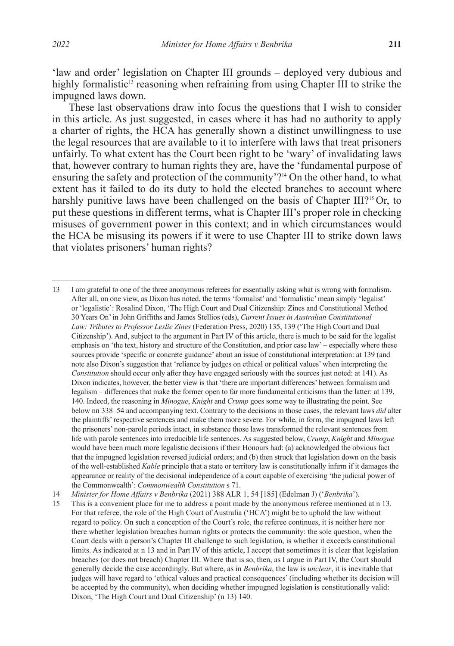'law and order' legislation on Chapter III grounds – deployed very dubious and highly formalistic<sup>13</sup> reasoning when refraining from using Chapter III to strike the impugned laws down.

These last observations draw into focus the questions that I wish to consider in this article. As just suggested, in cases where it has had no authority to apply a charter of rights, the HCA has generally shown a distinct unwillingness to use the legal resources that are available to it to interfere with laws that treat prisoners unfairly. To what extent has the Court been right to be 'wary' of invalidating laws that, however contrary to human rights they are, have the 'fundamental purpose of ensuring the safety and protection of the community'?<sup>14</sup> On the other hand, to what extent has it failed to do its duty to hold the elected branches to account where harshly punitive laws have been challenged on the basis of Chapter III?<sup>15</sup> Or, to put these questions in different terms, what is Chapter III's proper role in checking misuses of government power in this context; and in which circumstances would the HCA be misusing its powers if it were to use Chapter III to strike down laws that violates prisoners' human rights?

13 I am grateful to one of the three anonymous referees for essentially asking what is wrong with formalism. After all, on one view, as Dixon has noted, the terms 'formalist' and 'formalistic' mean simply 'legalist' or 'legalistic': Rosalind Dixon, 'The High Court and Dual Citizenship: Zines and Constitutional Method 30 Years On' in John Griffiths and James Stellios (eds), *Current Issues in Australian Constitutional Law: Tributes to Professor Leslie Zines* (Federation Press, 2020) 135, 139 ('The High Court and Dual Citizenship'). And, subject to the argument in Part IV of this article, there is much to be said for the legalist emphasis on 'the text, history and structure of the Constitution, and prior case law' – especially where these sources provide 'specific or concrete guidance' about an issue of constitutional interpretation: at 139 (and note also Dixon's suggestion that 'reliance by judges on ethical or political values' when interpreting the *Constitution* should occur only after they have engaged seriously with the sources just noted: at 141). As Dixon indicates, however, the better view is that 'there are important differences' between formalism and legalism – differences that make the former open to far more fundamental criticisms than the latter: at 139, 140. Indeed, the reasoning in *Minogue*, *Knight* and *Crump* goes some way to illustrating the point. See below nn 338–54 and accompanying text. Contrary to the decisions in those cases, the relevant laws *did* alter the plaintiffs' respective sentences and make them more severe. For while, in form, the impugned laws left the prisoners' non-parole periods intact, in substance those laws transformed the relevant sentences from life with parole sentences into irreducible life sentences. As suggested below, *Crump*, *Knight* and *Minogue*  would have been much more legalistic decisions if their Honours had: (a) acknowledged the obvious fact that the impugned legislation reversed judicial orders; and (b) then struck that legislation down on the basis of the well-established *Kable* principle that a state or territory law is constitutionally infirm if it damages the appearance or reality of the decisional independence of a court capable of exercising 'the judicial power of the Commonwealth': *Commonwealth Constitution* s 71.

14 *Minister for Home Affairs v Benbrika* (2021) 388 ALR 1, 54 [185] (Edelman J) ('*Benbrika*').

15 This is a convenient place for me to address a point made by the anonymous referee mentioned at n 13. For that referee, the role of the High Court of Australia ('HCA') might be to uphold the law without regard to policy. On such a conception of the Court's role, the referee continues, it is neither here nor there whether legislation breaches human rights or protects the community: the sole question, when the Court deals with a person's Chapter III challenge to such legislation, is whether it exceeds constitutional limits. As indicated at n 13 and in Part IV of this article, I accept that sometimes it is clear that legislation breaches (or does not breach) Chapter III. Where that is so, then, as I argue in Part IV, the Court should generally decide the case accordingly. But where, as in *Benbrika*, the law is *unclear*, it is inevitable that judges will have regard to 'ethical values and practical consequences' (including whether its decision will be accepted by the community), when deciding whether impugned legislation is constitutionally valid: Dixon, 'The High Court and Dual Citizenship' (n 13) 140.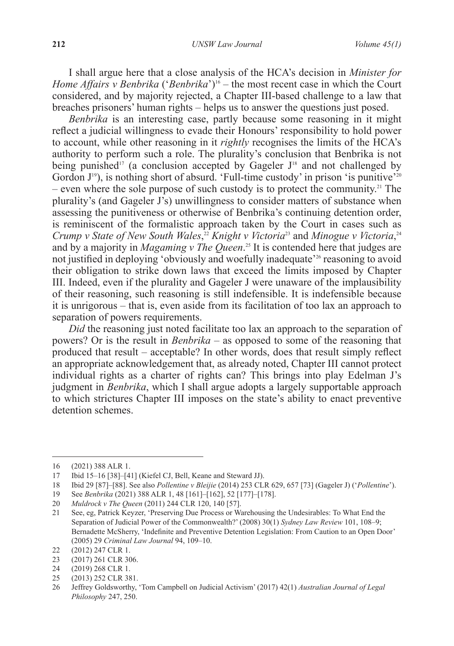I shall argue here that a close analysis of the HCA's decision in *Minister for Home Affairs v Benbrika* ('*Benbrika*')<sup>16</sup> – the most recent case in which the Court considered, and by majority rejected, a Chapter III-based challenge to a law that breaches prisoners' human rights – helps us to answer the questions just posed.

*Benbrika* is an interesting case, partly because some reasoning in it might reflect a judicial willingness to evade their Honours' responsibility to hold power to account, while other reasoning in it *rightly* recognises the limits of the HCA's authority to perform such a role. The plurality's conclusion that Benbrika is not being punished<sup>17</sup> (a conclusion accepted by Gageler  $J<sup>18</sup>$  and not challenged by Gordon  $J^{19}$ ), is nothing short of absurd. 'Full-time custody' in prison 'is punitive'<sup>20</sup> *–* even where the sole purpose of such custody is to protect the community.21 The plurality's (and Gageler J's) unwillingness to consider matters of substance when assessing the punitiveness or otherwise of Benbrika's continuing detention order, is reminiscent of the formalistic approach taken by the Court in cases such as Crump v State of New South Wales,<sup>22</sup> Knight v Victoria<sup>23</sup> and Minogue v Victoria,<sup>24</sup> and by a majority in *Magaming v The Queen*. 25 It is contended here that judges are not justified in deploying 'obviously and woefully inadequate'26 reasoning to avoid their obligation to strike down laws that exceed the limits imposed by Chapter III. Indeed, even if the plurality and Gageler J were unaware of the implausibility of their reasoning, such reasoning is still indefensible. It is indefensible because it is unrigorous *–* that is, even aside from its facilitation of too lax an approach to separation of powers requirements.

*Did* the reasoning just noted facilitate too lax an approach to the separation of powers? Or is the result in *Benbrika* – as opposed to some of the reasoning that produced that result *–* acceptable? In other words, does that result simply reflect an appropriate acknowledgement that, as already noted, Chapter III cannot protect individual rights as a charter of rights can? This brings into play Edelman J's judgment in *Benbrika*, which I shall argue adopts a largely supportable approach to which strictures Chapter III imposes on the state's ability to enact preventive detention schemes.

<sup>16</sup> (2021) 388 ALR 1.

<sup>17</sup> Ibid 15–16 [38]–[41] (Kiefel CJ, Bell, Keane and Steward JJ).

<sup>18</sup> Ibid 29 [87]–[88]. See also *Pollentine v Bleijie* (2014) 253 CLR 629, 657 [73] (Gageler J) ('*Pollentine*').

<sup>19</sup> See *Benbrika* (2021) 388 ALR 1, 48 [161]–[162], 52 [177]–[178].

<sup>20</sup> *Muldrock v The Queen* (2011) 244 CLR 120, 140 [57].

<sup>21</sup> See, eg, Patrick Keyzer, 'Preserving Due Process or Warehousing the Undesirables: To What End the Separation of Judicial Power of the Commonwealth?' (2008) 30(1) *Sydney Law Review* 101, 108–9; Bernadette McSherry, 'Indefinite and Preventive Detention Legislation: From Caution to an Open Door' (2005) 29 *Criminal Law Journal* 94, 109–10.

<sup>22</sup> (2012) 247 CLR 1.

<sup>23 (2017) 261</sup> CLR 306.<br>24 (2019) 268 CLR 1.

<sup>(2019) 268</sup> CLR 1.

<sup>25</sup> (2013) 252 CLR 381.

<sup>26</sup> Jeffrey Goldsworthy, 'Tom Campbell on Judicial Activism' (2017) 42(1) *Australian Journal of Legal Philosophy* 247, 250.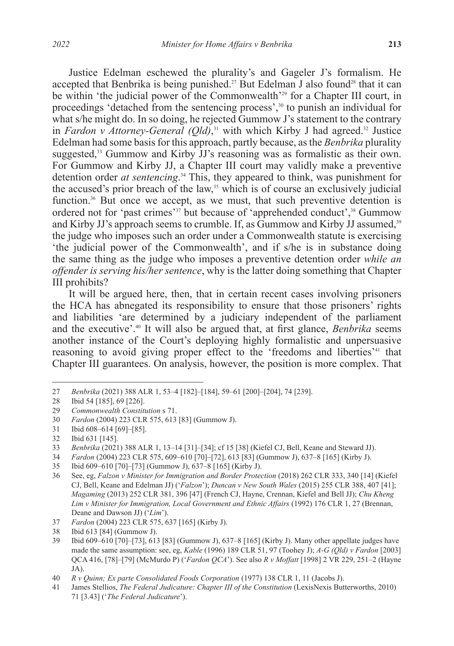Justice Edelman eschewed the plurality's and Gageler J's formalism. He accepted that Benbrika is being punished.<sup>27</sup> But Edelman J also found<sup>28</sup> that it can be within 'the judicial power of the Commonwealth'<sup>29</sup> for a Chapter III court, in proceedings 'detached from the sentencing process',<sup>30</sup> to punish an individual for what s/he might do. In so doing, he rejected Gummow J's statement to the contrary in *Fardon v Attorney-General (Qld)*,<sup>31</sup> with which Kirby J had agreed.<sup>32</sup> Justice Edelman had some basis for this approach, partly because, as the *Benbrika* plurality suggested,<sup>33</sup> Gummow and Kirby JJ's reasoning was as formalistic as their own. For Gummow and Kirby JJ, a Chapter III court may validly make a preventive detention order *at sentencing*. 34 This, they appeared to think, was punishment for the accused's prior breach of the law, $35$  which is of course an exclusively judicial function.<sup>36</sup> But once we accept, as we must, that such preventive detention is ordered not for 'past crimes'<sup>37</sup> but because of 'apprehended conduct',<sup>38</sup> Gummow and Kirby JJ's approach seems to crumble. If, as Gummow and Kirby JJ assumed,<sup>39</sup> the judge who imposes such an order under a Commonwealth statute is exercising 'the judicial power of the Commonwealth', and if s/he is in substance doing the same thing as the judge who imposes a preventive detention order *while an offender is serving his/her sentence*, why is the latter doing something that Chapter III prohibits?

It will be argued here, then, that in certain recent cases involving prisoners the HCA has abnegated its responsibility to ensure that those prisoners' rights and liabilities 'are determined by a judiciary independent of the parliament and the executive'.40 It will also be argued that, at first glance, *Benbrika* seems another instance of the Court's deploying highly formalistic and unpersuasive reasoning to avoid giving proper effect to the 'freedoms and liberties'<sup>41</sup> that Chapter III guarantees. On analysis, however, the position is more complex. That

<sup>27</sup> *Benbrika* (2021) 388 ALR 1, 53–4 [182]–[184], 59–61 [200]–[204], 74 [239].

<sup>28</sup> Ibid 54 [185], 69 [226].

<sup>29</sup> *Commonwealth Constitution* s 71.

<sup>30</sup> *Fardon* (2004) 223 CLR 575, 613 [83] (Gummow J).

Ibid 608–614 [69]–[85].

<sup>32</sup> Ibid 631 [145].

<sup>33</sup> *Benbrika* (2021) 388 ALR 1, 13–14 [31]–[34]; cf 15 [38] (Kiefel CJ, Bell, Keane and Steward JJ).

<sup>34</sup> *Fardon* (2004) 223 CLR 575, 609–610 [70]–[72], 613 [83] (Gummow J), 637–8 [165] (Kirby J).

<sup>35</sup> Ibid 609–610 [70]–[73] (Gummow J), 637–8 [165] (Kirby J).

<sup>36</sup> See, eg, *Falzon v Minister for Immigration and Border Protection* (2018) 262 CLR 333, 340 [14] (Kiefel CJ, Bell, Keane and Edelman JJ) ('*Falzon*'); *Duncan v New South Wales* (2015) 255 CLR 388, 407 [41]; *Magaming* (2013) 252 CLR 381, 396 [47] (French CJ, Hayne, Crennan, Kiefel and Bell JJ); *Chu Kheng Lim v Minister for Immigration, Local Government and Ethnic Affairs* (1992) 176 CLR 1, 27 (Brennan, Deane and Dawson JJ) ('*Lim*').

<sup>37</sup> *Fardon* (2004) 223 CLR 575, 637 [165] (Kirby J).

<sup>38</sup> Ibid 613 [84] (Gummow J).

<sup>39</sup> Ibid 609–610 [70]–[73], 613 [83] (Gummow J), 637–8 [165] (Kirby J). Many other appellate judges have made the same assumption: see, eg, *Kable* (1996) 189 CLR 51, 97 (Toohey J); *A-G (Qld) v Fardon* [2003] QCA 416, [78]–[79] (McMurdo P) ('*Fardon QCA*'). See also *R v Moffatt* [1998] 2 VR 229, 251–2 (Hayne JA).

<sup>40</sup> *R v Quinn; Ex parte Consolidated Foods Corporation* (1977) 138 CLR 1, 11 (Jacobs J).

<sup>41</sup> James Stellios, *The Federal Judicature: Chapter III of the Constitution* (LexisNexis Butterworths, 2010) 71 [3.43] ('*The Federal Judicature*').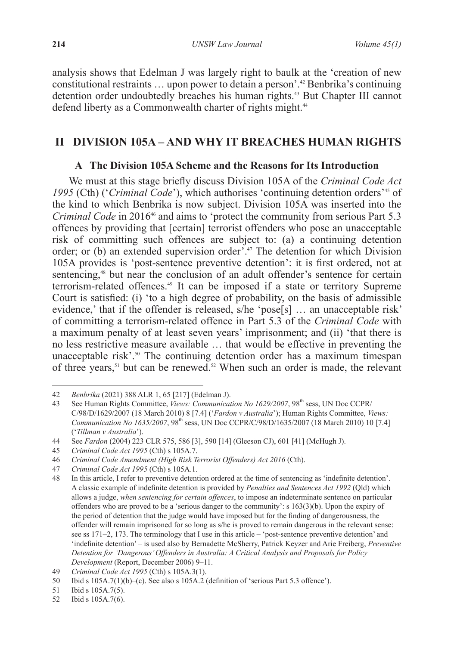analysis shows that Edelman J was largely right to baulk at the 'creation of new constitutional restraints … upon power to detain a person'.42 Benbrika's continuing detention order undoubtedly breaches his human rights.<sup>43</sup> But Chapter III cannot defend liberty as a Commonwealth charter of rights might.<sup>44</sup>

# **II DIVISION 105A – AND WHY IT BREACHES HUMAN RIGHTS**

### **A The Division 105A Scheme and the Reasons for Its Introduction**

We must at this stage briefly discuss Division 105A of the *Criminal Code Act 1995* (Cth) ('*Criminal Code*'), which authorises 'continuing detention orders'45 of the kind to which Benbrika is now subject. Division 105A was inserted into the *Criminal Code* in 2016<sup>46</sup> and aims to 'protect the community from serious Part 5.3 offences by providing that [certain] terrorist offenders who pose an unacceptable risk of committing such offences are subject to: (a) a continuing detention order; or (b) an extended supervision order'.47 The detention for which Division 105A provides is 'post-sentence preventive detention': it is first ordered, not at sentencing,<sup>48</sup> but near the conclusion of an adult offender's sentence for certain terrorism-related offences.49 It can be imposed if a state or territory Supreme Court is satisfied: (i) 'to a high degree of probability, on the basis of admissible evidence,' that if the offender is released, s/he 'pose[s] … an unacceptable risk' of committing a terrorism-related offence in Part 5.3 of the *Criminal Code* with a maximum penalty of at least seven years' imprisonment; and (ii) 'that there is no less restrictive measure available … that would be effective in preventing the unacceptable risk'.<sup>50</sup> The continuing detention order has a maximum timespan of three years,<sup>51</sup> but can be renewed.<sup>52</sup> When such an order is made, the relevant

<sup>42</sup> *Benbrika* (2021) 388 ALR 1, 65 [217] (Edelman J).

See Human Rights Committee, *Views: Communication No 1629/2007*, 98<sup>th</sup> sess, UN Doc CCPR/ C/98/D/1629/2007 (18 March 2010) 8 [7.4] ('*Fardon v Australia*'); Human Rights Committee, *Views: Communication No 1635/2007*, 98<sup>th</sup> sess, UN Doc CCPR/C/98/D/1635/2007 (18 March 2010) 10 [7.4] ('*Tillman v Australia*').

<sup>44</sup> See *Fardon* (2004) 223 CLR 575, 586 [3], 590 [14] (Gleeson CJ), 601 [41] (McHugh J).

<sup>45</sup> *Criminal Code Act 1995* (Cth) s 105A.7.

<sup>46</sup> *Criminal Code Amendment (High Risk Terrorist Offenders) Act 2016* (Cth).

<sup>47</sup> *Criminal Code Act 1995* (Cth) s 105A.1.

<sup>48</sup> In this article, I refer to preventive detention ordered at the time of sentencing as 'indefinite detention'. A classic example of indefinite detention is provided by *Penalties and Sentences Act 1992* (Qld) which allows a judge, *when sentencing for certain offences*, to impose an indeterminate sentence on particular offenders who are proved to be a 'serious danger to the community': s 163(3)(b). Upon the expiry of the period of detention that the judge would have imposed but for the finding of dangerousness, the offender will remain imprisoned for so long as s/he is proved to remain dangerous in the relevant sense: see ss 171–2, 173. The terminology that I use in this article – 'post-sentence preventive detention' and 'indefinite detention' – is used also by Bernadette McSherry, Patrick Keyzer and Arie Freiberg, *Preventive Detention for 'Dangerous' Offenders in Australia: A Critical Analysis and Proposals for Policy Development* (Report, December 2006) 9–11.

<sup>49</sup> *Criminal Code Act 1995* (Cth) s 105A.3(1).

<sup>50</sup> Ibid s 105A.7(1)(b)–(c). See also s 105A.2 (definition of 'serious Part 5.3 offence').

<sup>51</sup> Ibid s 105A.7(5).

<sup>52</sup> Ibid s 105A.7(6).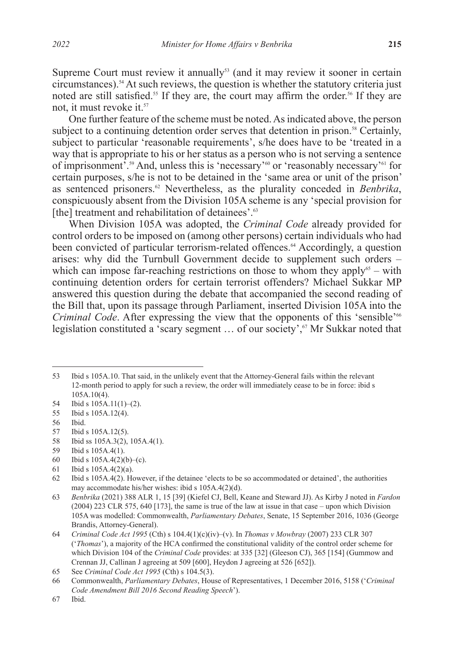Supreme Court must review it annually<sup>53</sup> (and it may review it sooner in certain circumstances).54 At such reviews, the question is whether the statutory criteria just noted are still satisfied.<sup>55</sup> If they are, the court may affirm the order.<sup>56</sup> If they are not, it must revoke it.<sup>57</sup>

One further feature of the scheme must be noted. As indicated above, the person subject to a continuing detention order serves that detention in prison.<sup>58</sup> Certainly, subject to particular 'reasonable requirements', s/he does have to be 'treated in a way that is appropriate to his or her status as a person who is not serving a sentence of imprisonment'.59 And, unless this is 'necessary'60 or 'reasonably necessary'61 for certain purposes, s/he is not to be detained in the 'same area or unit of the prison' as sentenced prisoners.62 Nevertheless, as the plurality conceded in *Benbrika*, conspicuously absent from the Division 105A scheme is any 'special provision for [the] treatment and rehabilitation of detainees'.<sup>63</sup>

When Division 105A was adopted, the *Criminal Code* already provided for control orders to be imposed on (among other persons) certain individuals who had been convicted of particular terrorism-related offences.<sup>64</sup> Accordingly, a question arises: why did the Turnbull Government decide to supplement such orders *–*  which can impose far-reaching restrictions on those to whom they apply<sup>65</sup> – with continuing detention orders for certain terrorist offenders? Michael Sukkar MP answered this question during the debate that accompanied the second reading of the Bill that, upon its passage through Parliament, inserted Division 105A into the *Criminal Code*. After expressing the view that the opponents of this 'sensible'<sup>66</sup> legislation constituted a 'scary segment  $\ldots$  of our society',<sup>67</sup> Mr Sukkar noted that

- 58 Ibid ss 105A.3(2), 105A.4(1).
- 59 Ibid s 105A.4(1).
- 60 Ibid s 105A.4(2)(b)–(c).

<sup>53</sup> Ibid s 105A.10. That said, in the unlikely event that the Attorney-General fails within the relevant 12-month period to apply for such a review, the order will immediately cease to be in force: ibid s 105A.10(4).

<sup>54</sup> Ibid s 105A.11(1)–(2).

<sup>55</sup> Ibid s 105A.12(4).

<sup>56</sup> Ibid.

<sup>57</sup> Ibid s 105A.12(5).

<sup>61</sup> Ibid s 105A.4(2)(a).

<sup>62</sup> Ibid s 105A.4(2). However, if the detainee 'elects to be so accommodated or detained', the authorities may accommodate his/her wishes: ibid s 105A.4(2)(d).

<sup>63</sup> *Benbrika* (2021) 388 ALR 1, 15 [39] (Kiefel CJ, Bell, Keane and Steward JJ). As Kirby J noted in *Fardon*  (2004) 223 CLR 575, 640 [173], the same is true of the law at issue in that case – upon which Division 105A was modelled: Commonwealth, *Parliamentary Debates*, Senate, 15 September 2016, 1036 (George Brandis, Attorney-General).

<sup>64</sup> *Criminal Code Act 1995* (Cth) s 104.4(1)(c)(iv)–(v). In *Thomas v Mowbray* (2007) 233 CLR 307 ('*Thomas*'), a majority of the HCA confirmed the constitutional validity of the control order scheme for which Division 104 of the *Criminal Code* provides: at 335 [32] (Gleeson CJ), 365 [154] (Gummow and Crennan JJ, Callinan J agreeing at 509 [600], Heydon J agreeing at 526 [652]).

<sup>65</sup> See *Criminal Code Act 1995* (Cth) s 104.5(3).

<sup>66</sup> Commonwealth, *Parliamentary Debates*, House of Representatives, 1 December 2016, 5158 ('*Criminal Code Amendment Bill 2016 Second Reading Speech*').

<sup>67</sup> Ibid.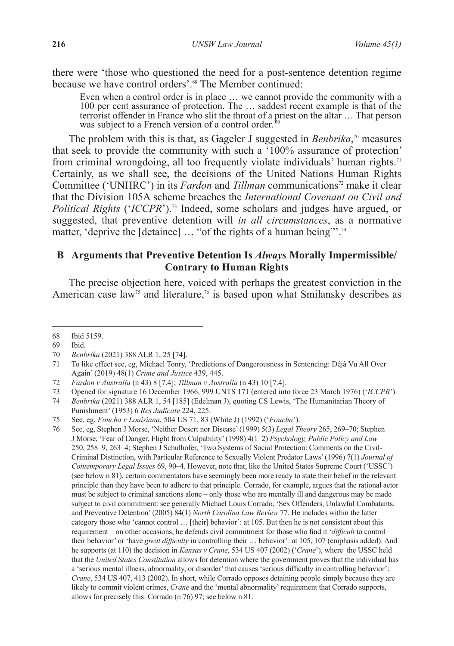there were 'those who questioned the need for a post-sentence detention regime because we have control orders'.<sup>68</sup> The Member continued:

Even when a control order is in place … we cannot provide the community with a 100 per cent assurance of protection. The … saddest recent example is that of the terrorist offender in France who slit the throat of a priest on the altar … That person was subject to a French version of a control order.<sup> $\frac{1}{6}$ </sup>

The problem with this is that, as Gageler J suggested in *Benbrika*, 70 measures that seek to provide the community with such a '100% assurance of protection' from criminal wrongdoing, all too frequently violate individuals' human rights.<sup>71</sup> Certainly, as we shall see, the decisions of the United Nations Human Rights Committee ('UNHRC') in its *Fardon* and *Tillman* communications<sup>72</sup> make it clear that the Division 105A scheme breaches the *International Covenant on Civil and Political Rights* ('*ICCPR*').73 Indeed, some scholars and judges have argued, or suggested, that preventive detention will *in all circumstances*, as a normative matter, 'deprive the [detainee] ... "of the rights of a human being"<sup>74</sup>

## **B Arguments that Preventive Detention Is** *Always* **Morally Impermissible/ Contrary to Human Rights**

The precise objection here, voiced with perhaps the greatest conviction in the American case law<sup>75</sup> and literature,<sup>76</sup> is based upon what Smilansky describes as

<sup>68</sup> Ibid 5159.

<sup>69</sup> Ibid.

<sup>70</sup> *Benbrika* (2021) 388 ALR 1, 25 [74].

<sup>71</sup> To like effect see, eg, Michael Tonry, 'Predictions of Dangerousness in Sentencing: Déjà Vu All Over Again' (2019) 48(1) *Crime and Justice* 439, 445.

<sup>72</sup> *Fardon v Australia* (n 43) 8 [7.4]; *Tillman v Australia* (n 43) 10 [7.4].

<sup>73</sup> Opened for signature 16 December 1966, 999 UNTS 171 (entered into force 23 March 1976) ('*ICCPR*').

<sup>74</sup> *Benbrika* (2021) 388 ALR 1, 54 [185] (Edelman J), quoting CS Lewis, 'The Humanitarian Theory of Punishment' (1953) 6 *Res Judicate* 224, 225.

<sup>75</sup> See, eg, *Foucha v Louisiana*, 504 US 71, 83 (White J) (1992) ('*Foucha*').

<sup>76</sup> See, eg, Stephen J Morse, 'Neither Desert nor Disease' (1999) 5(3) *Legal Theory* 265, 269–70; Stephen J Morse, 'Fear of Danger, Flight from Culpability' (1998) 4(1–2) *Psychology, Public Policy and Law*  250, 258–9, 263–4; Stephen J Schulhofer, 'Two Systems of Social Protection: Comments on the Civil-Criminal Distinction, with Particular Reference to Sexually Violent Predator Laws' (1996) 7(1) *Journal of Contemporary Legal Issues* 69, 90–4. However, note that, like the United States Supreme Court ('USSC') (see below n 81), certain commentators have seemingly been more ready to state their belief in the relevant principle than they have been to adhere to that principle. Corrado, for example, argues that the rational actor must be subject to criminal sanctions alone – only those who are mentally ill and dangerous may be made subject to civil commitment: see generally Michael Louis Corrado, 'Sex Offenders, Unlawful Combatants, and Preventive Detention' (2005) 84(1) *North Carolina Law Review* 77. He includes within the latter category those who 'cannot control … [their] behavior': at 105. But then he is not consistent about this requirement – on other occasions, he defends civil commitment for those who find it '*difficult* to control their behavior' or 'have *great difficulty* in controlling their … behavior': at 105, 107 (emphasis added). And he supports (at 110) the decision in *Kansas v Crane*, 534 US 407 (2002) ('*Crane*'), where the USSC held that the *United States Constitution* allows for detention where the government proves that the individual has a 'serious mental illness, abnormality, or disorder' that causes 'serious difficulty in controlling behavior': *Crane*, 534 US 407, 413 (2002). In short, while Corrado opposes detaining people simply because they are likely to commit violent crimes, *Crane* and the 'mental abnormality' requirement that Corrado supports, allows for precisely this: Corrado (n 76) 97; see below n 81.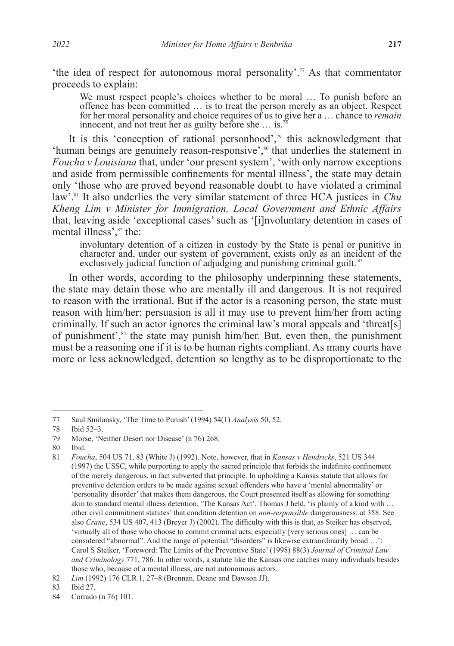'the idea of respect for autonomous moral personality'. $\pi$  As that commentator proceeds to explain:

We must respect people's choices whether to be moral … To punish before an offence has been committed … is to treat the person merely as an object. Respect for her moral personality and choice requires of us to give her a … chance to *remain*  innocent, and not treat her as guilty before she ... is.

It is this 'conception of rational personhood',<sup>79</sup> this acknowledgment that 'human beings are genuinely reason-responsive',<sup>80</sup> that underlies the statement in *Foucha v Louisiana* that, under 'our present system', 'with only narrow exceptions and aside from permissible confinements for mental illness', the state may detain only 'those who are proved beyond reasonable doubt to have violated a criminal law'.81 It also underlies the very similar statement of three HCA justices in *Chu Kheng Lim v Minister for Immigration, Local Government and Ethnic Affairs*  that, leaving aside 'exceptional cases' such as '[i]nvoluntary detention in cases of mental illness',<sup>82</sup> the:

involuntary detention of a citizen in custody by the State is penal or punitive in character and, under our system of government, exists only as an incident of the exclusively judicial function of adjudging and punishing criminal guilt.  $83$ 

In other words, according to the philosophy underpinning these statements, the state may detain those who are mentally ill and dangerous. It is not required to reason with the irrational. But if the actor is a reasoning person, the state must reason with him/her: persuasion is all it may use to prevent him/her from acting criminally. If such an actor ignores the criminal law's moral appeals and 'threat[s] of punishment',<sup>84</sup> the state may punish him/her. But, even then, the punishment must be a reasoning one if it is to be human rights compliant. As many courts have more or less acknowledged, detention so lengthy as to be disproportionate to the

80 Ibid.

<sup>77</sup> Saul Smilansky, 'The Time to Punish' (1994) 54(1) *Analysis* 50, 52.

Ibid 52–3.

<sup>79</sup> Morse, 'Neither Desert nor Disease' (n 76) 268.

<sup>81</sup> *Foucha*, 504 US 71, 83 (White J) (1992). Note, however, that in *Kansas v Hendricks*, 521 US 344 (1997) the USSC, while purporting to apply the sacred principle that forbids the indefinite confinement of the merely dangerous, in fact subverted that principle. In upholding a Kansas statute that allows for preventive detention orders to be made against sexual offenders who have a 'mental abnormality' or 'personality disorder' that makes them dangerous, the Court presented itself as allowing for something akin to standard mental illness detention. 'The Kansas Act', Thomas J held, 'is plainly of a kind with … other civil commitment statutes' that condition detention on *non-responsible* dangerousness: at 358. See also *Crane*, 534 US 407, 413 (Breyer J) (2002). The difficulty with this is that, as Steiker has observed, 'virtually all of those who choose to commit criminal acts, especially [very serious ones] … can be considered "abnormal". And the range of potential "disorders" is likewise extraordinarily broad ...": Carol S Steiker, 'Foreword: The Limits of the Preventive State' (1998) 88(3) *Journal of Criminal Law and Criminology* 771, 786. In other words, a statute like the Kansas one catches many individuals besides those who, because of a mental illness, are not autonomous actors.

<sup>82</sup> *Lim* (1992) 176 CLR 1, 27–8 (Brennan, Deane and Dawson JJ).

<sup>83</sup> Ibid 27.

<sup>84</sup> Corrado (n 76) 101.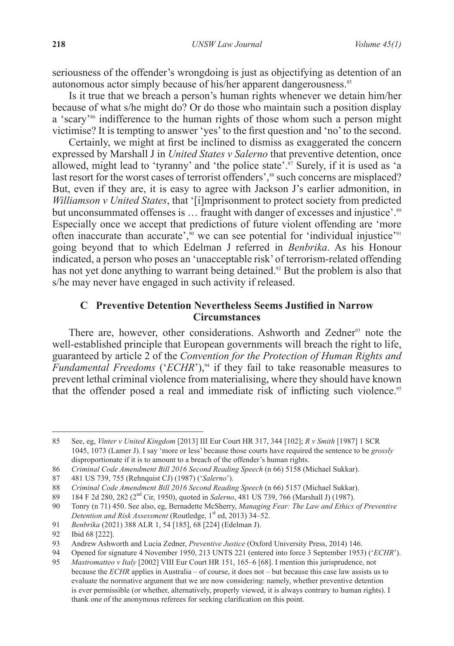seriousness of the offender's wrongdoing is just as objectifying as detention of an autonomous actor simply because of his/her apparent dangerousness.<sup>85</sup>

Is it true that we breach a person's human rights whenever we detain him/her because of what s/he might do? Or do those who maintain such a position display a 'scary'<sup>86</sup> indifference to the human rights of those whom such a person might victimise? It is tempting to answer 'yes' to the first question and 'no' to the second.

Certainly, we might at first be inclined to dismiss as exaggerated the concern expressed by Marshall J in *United States v Salerno* that preventive detention, once allowed, might lead to 'tyranny' and 'the police state'. $\frac{8}{5}$  Surely, if it is used as 'a last resort for the worst cases of terrorist offenders',<sup>88</sup> such concerns are misplaced? But, even if they are, it is easy to agree with Jackson J's earlier admonition, in *Williamson v United States*, that '[i]mprisonment to protect society from predicted but unconsummated offenses is ... fraught with danger of excesses and injustice'.<sup>89</sup> Especially once we accept that predictions of future violent offending are 'more often inaccurate than accurate', $\frac{90}{90}$  we can see potential for 'individual injustice'<sup>91</sup> going beyond that to which Edelman J referred in *Benbrika*. As his Honour indicated, a person who poses an 'unacceptable risk' of terrorism-related offending has not yet done anything to warrant being detained.<sup>92</sup> But the problem is also that s/he may never have engaged in such activity if released.

## **C Preventive Detention Nevertheless Seems Justified in Narrow Circumstances**

There are, however, other considerations. Ashworth and Zedner<sup>93</sup> note the well-established principle that European governments will breach the right to life, guaranteed by article 2 of the *Convention for the Protection of Human Rights and Fundamental Freedoms* ('*ECHR*'),<sup>94</sup> if they fail to take reasonable measures to prevent lethal criminal violence from materialising, where they should have known that the offender posed a real and immediate risk of inflicting such violence.<sup>95</sup>

<sup>85</sup> See, eg, *Vinter v United Kingdom* [2013] III Eur Court HR 317, 344 [102]; *R v Smith* [1987] 1 SCR 1045, 1073 (Lamer J). I say 'more or less' because those courts have required the sentence to be *grossly*  disproportionate if it is to amount to a breach of the offender's human rights.

<sup>86</sup> *Criminal Code Amendment Bill 2016 Second Reading Speech* (n 66) 5158 (Michael Sukkar).

<sup>87</sup> 481 US 739, 755 (Rehnquist CJ) (1987) ('*Salerno*').

<sup>88</sup> *Criminal Code Amendment Bill 2016 Second Reading Speech* (n 66) 5157 (Michael Sukkar).

<sup>89 184</sup> F 2d 280, 282 (2<sup>nd</sup> Cir, 1950), quoted in *Salerno*, 481 US 739, 766 (Marshall J) (1987).<br>90 Tonry (n 71) 450. See also, eg. Bernadette McSherry, *Managing Fear: The Law and Ethics* 

<sup>90</sup> Tonry (n 71) 450. See also, eg, Bernadette McSherry, *Managing Fear: The Law and Ethics of Preventive Detention and Risk Assessment* (Routledge, 1<sup>st</sup> ed, 2013) 34–52.

<sup>91</sup> *Benbrika* (2021) 388 ALR 1, 54 [185], 68 [224] (Edelman J).

<sup>92</sup> Ibid 68 [222].

<sup>93</sup> Andrew Ashworth and Lucia Zedner, *Preventive Justice* (Oxford University Press, 2014) 146.

<sup>94</sup> Opened for signature 4 November 1950, 213 UNTS 221 (entered into force 3 September 1953) (*'ECHR'*).<br>95 *Mastromatteo y Italy* [2002] VIII Eur Court HR 151, 165–6 [68]. I mention this iurisprudence, not

<sup>95</sup> *Mastromatteo v Italy* [2002] VIII Eur Court HR 151, 165–6 [68]. I mention this jurisprudence, not because the *ECHR* applies in Australia – of course, it does not – but because this case law assists us to evaluate the normative argument that we are now considering: namely, whether preventive detention is ever permissible (or whether, alternatively, properly viewed, it is always contrary to human rights). I thank one of the anonymous referees for seeking clarification on this point.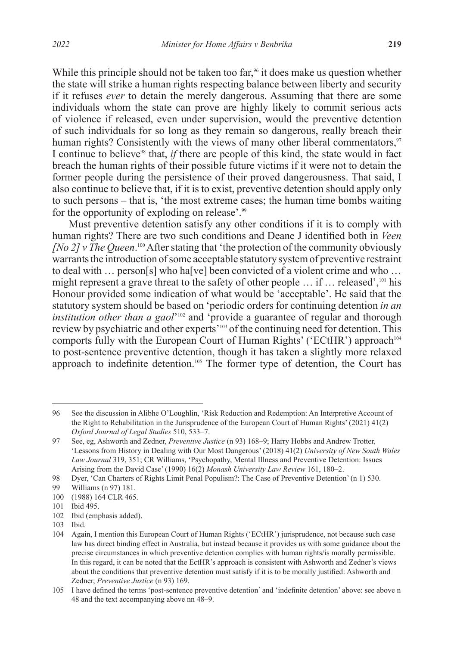While this principle should not be taken too far,<sup>96</sup> it does make us question whether the state will strike a human rights respecting balance between liberty and security if it refuses *ever* to detain the merely dangerous. Assuming that there are some individuals whom the state can prove are highly likely to commit serious acts of violence if released, even under supervision, would the preventive detention of such individuals for so long as they remain so dangerous, really breach their human rights? Consistently with the views of many other liberal commentators,<sup>97</sup> I continue to believe<sup>98</sup> that, *if* there are people of this kind, the state would in fact breach the human rights of their possible future victims if it were not to detain the former people during the persistence of their proved dangerousness. That said, I also continue to believe that, if it is to exist, preventive detention should apply only to such persons *–* that is, 'the most extreme cases; the human time bombs waiting for the opportunity of exploding on release'.<sup>99</sup>

Must preventive detention satisfy any other conditions if it is to comply with human rights? There are two such conditions and Deane J identified both in *Veen [No 2] v The Queen*.<sup>100</sup> After stating that 'the protection of the community obviously warrants the introduction of some acceptable statutory system of preventive restraint to deal with … person[s] who ha[ve] been convicted of a violent crime and who … might represent a grave threat to the safety of other people … if … released',101 his Honour provided some indication of what would be 'acceptable'. He said that the statutory system should be based on 'periodic orders for continuing detention *in an institution other than a gaol*<sup>'102</sup> and 'provide a guarantee of regular and thorough review by psychiatric and other experts'103 of the continuing need for detention. This comports fully with the European Court of Human Rights' ('ECtHR') approach<sup>104</sup> to post-sentence preventive detention, though it has taken a slightly more relaxed approach to indefinite detention.<sup>105</sup> The former type of detention, the Court has

<sup>96</sup> See the discussion in Alibhe O'Loughlin, 'Risk Reduction and Redemption: An Interpretive Account of the Right to Rehabilitation in the Jurisprudence of the European Court of Human Rights' (2021) 41(2) *Oxford Journal of Legal Studies* 510, 533–7.

<sup>97</sup> See, eg, Ashworth and Zedner, *Preventive Justice* (n 93) 168–9; Harry Hobbs and Andrew Trotter, 'Lessons from History in Dealing with Our Most Dangerous' (2018) 41(2) *University of New South Wales Law Journal* 319, 351; CR Williams, 'Psychopathy, Mental Illness and Preventive Detention: Issues Arising from the David Case' (1990) 16(2) *Monash University Law Review* 161, 180–2.

<sup>98</sup> Dyer, 'Can Charters of Rights Limit Penal Populism?: The Case of Preventive Detention' (n 1) 530.

<sup>99</sup> Williams (n 97) 181.

<sup>100</sup> (1988) 164 CLR 465.

<sup>101</sup> Ibid 495.

<sup>102</sup> Ibid (emphasis added).

<sup>103</sup> Ibid.

<sup>104</sup> Again, I mention this European Court of Human Rights ('ECtHR') jurisprudence, not because such case law has direct binding effect in Australia, but instead because it provides us with some guidance about the precise circumstances in which preventive detention complies with human rights/is morally permissible. In this regard, it can be noted that the EctHR's approach is consistent with Ashworth and Zedner's views about the conditions that preventive detention must satisfy if it is to be morally justified: Ashworth and Zedner, *Preventive Justice* (n 93) 169.

<sup>105</sup> I have defined the terms 'post-sentence preventive detention' and 'indefinite detention' above: see above n 48 and the text accompanying above nn 48–9.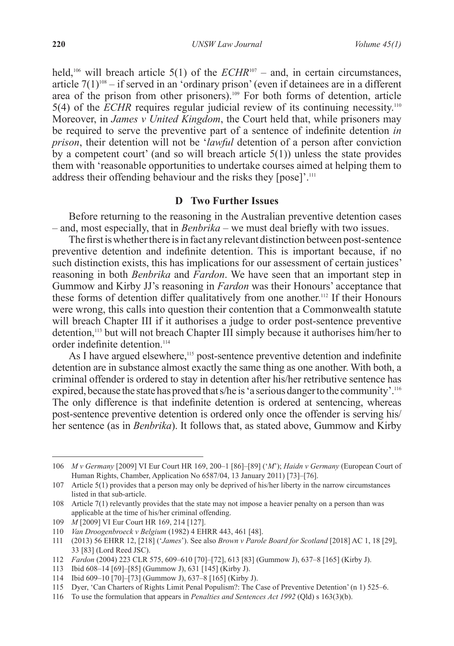held,<sup>106</sup> will breach article 5(1) of the  $ECHR^{107}$  – and, in certain circumstances, article  $7(1)^{108}$  – if served in an 'ordinary prison' (even if detainees are in a different area of the prison from other prisoners).109 For both forms of detention, article 5(4) of the *ECHR* requires regular judicial review of its continuing necessity.110 Moreover, in *James v United Kingdom*, the Court held that, while prisoners may be required to serve the preventive part of a sentence of indefinite detention *in prison*, their detention will not be '*lawful* detention of a person after conviction by a competent court' (and so will breach article 5(1)) unless the state provides them with 'reasonable opportunities to undertake courses aimed at helping them to address their offending behaviour and the risks they [pose]'.<sup>111</sup>

#### **D Two Further Issues**

Before returning to the reasoning in the Australian preventive detention cases *–* and, most especially, that in *Benbrika –* we must deal briefly with two issues.

The first is whether there is in fact any relevant distinction between post-sentence preventive detention and indefinite detention. This is important because, if no such distinction exists, this has implications for our assessment of certain justices' reasoning in both *Benbrika* and *Fardon*. We have seen that an important step in Gummow and Kirby JJ's reasoning in *Fardon* was their Honours' acceptance that these forms of detention differ qualitatively from one another.112 If their Honours were wrong, this calls into question their contention that a Commonwealth statute will breach Chapter III if it authorises a judge to order post-sentence preventive detention,113 but will not breach Chapter III simply because it authorises him/her to order indefinite detention.<sup>114</sup>

As I have argued elsewhere,<sup>115</sup> post-sentence preventive detention and indefinite detention are in substance almost exactly the same thing as one another. With both, a criminal offender is ordered to stay in detention after his/her retributive sentence has expired, because the state has proved that s/he is 'a serious danger to the community'.<sup>116</sup> The only difference is that indefinite detention is ordered at sentencing, whereas post-sentence preventive detention is ordered only once the offender is serving his/ her sentence (as in *Benbrika*). It follows that, as stated above, Gummow and Kirby

<sup>106</sup> *M v Germany* [2009] VI Eur Court HR 169, 200–1 [86]–[89] ('*M*'); *Haidn v Germany* (European Court of Human Rights, Chamber, Application No 6587/04, 13 January 2011) [73]–[76].

<sup>107</sup> Article 5(1) provides that a person may only be deprived of his/her liberty in the narrow circumstances listed in that sub-article.

<sup>108</sup> Article 7(1) relevantly provides that the state may not impose a heavier penalty on a person than was applicable at the time of his/her criminal offending.

<sup>109</sup> *M* [2009] VI Eur Court HR 169, 214 [127].

<sup>110</sup> *Van Droogenbroeck v Belgium* (1982) 4 EHRR 443, 461 [48].

<sup>111</sup> (2013) 56 EHRR 12, [218] ('*James*'). See also *Brown v Parole Board for Scotland* [2018] AC 1, 18 [29], 33 [83] (Lord Reed JSC).

<sup>112</sup> *Fardon* (2004) 223 CLR 575, 609–610 [70]–[72], 613 [83] (Gummow J), 637–8 [165] (Kirby J).

<sup>113</sup> Ibid 608–14 [69]–[85] (Gummow J), 631 [145] (Kirby J).

<sup>114</sup> Ibid 609–10 [70]–[73] (Gummow J), 637–8 [165] (Kirby J).

<sup>115</sup> Dyer, 'Can Charters of Rights Limit Penal Populism?: The Case of Preventive Detention' (n 1) 525–6.

<sup>116</sup> To use the formulation that appears in *Penalties and Sentences Act 1992* (Qld) s 163(3)(b).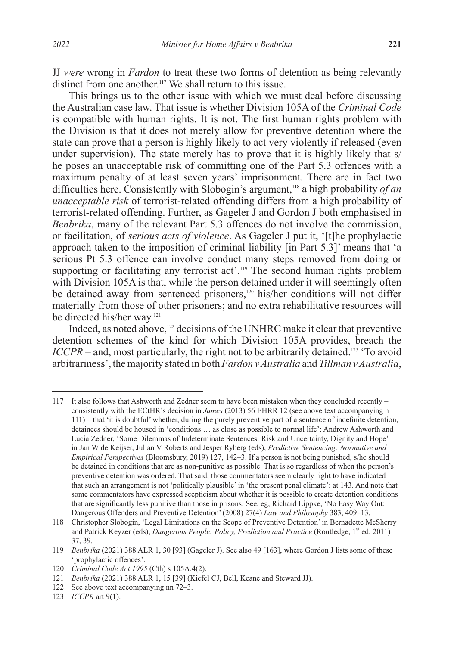JJ *were* wrong in *Fardon* to treat these two forms of detention as being relevantly distinct from one another.<sup>117</sup> We shall return to this issue.

This brings us to the other issue with which we must deal before discussing the Australian case law. That issue is whether Division 105A of the *Criminal Code*  is compatible with human rights. It is not. The first human rights problem with the Division is that it does not merely allow for preventive detention where the state can prove that a person is highly likely to act very violently if released (even under supervision). The state merely has to prove that it is highly likely that s/ he poses an unacceptable risk of committing one of the Part 5.3 offences with a maximum penalty of at least seven years' imprisonment. There are in fact two difficulties here. Consistently with Slobogin's argument,118 a high probability *of an unacceptable risk* of terrorist-related offending differs from a high probability of terrorist-related offending. Further, as Gageler J and Gordon J both emphasised in *Benbrika*, many of the relevant Part 5.3 offences do not involve the commission, or facilitation, of *serious acts of violence*. As Gageler J put it, '[t]he prophylactic approach taken to the imposition of criminal liability [in Part 5.3]' means that 'a serious Pt 5.3 offence can involve conduct many steps removed from doing or supporting or facilitating any terrorist act'.<sup>119</sup> The second human rights problem with Division 105A is that, while the person detained under it will seemingly often be detained away from sentenced prisoners,<sup>120</sup> his/her conditions will not differ materially from those of other prisoners; and no extra rehabilitative resources will be directed his/her way.<sup>121</sup>

Indeed, as noted above,<sup>122</sup> decisions of the UNHRC make it clear that preventive detention schemes of the kind for which Division 105A provides, breach the *ICCPR* – and, most particularly, the right not to be arbitrarily detained.<sup>123</sup> 'To avoid arbitrariness', the majority stated in both *Fardon v Australia* and *Tillman v Australia*,

<sup>117</sup> It also follows that Ashworth and Zedner seem to have been mistaken when they concluded recently – consistently with the ECtHR's decision in *James* (2013) 56 EHRR 12 (see above text accompanying n 111) – that 'it is doubtful' whether, during the purely preventive part of a sentence of indefinite detention, detainees should be housed in 'conditions … as close as possible to normal life': Andrew Ashworth and Lucia Zedner, 'Some Dilemmas of Indeterminate Sentences: Risk and Uncertainty, Dignity and Hope' in Jan W de Keijser, Julian V Roberts and Jesper Ryberg (eds), *Predictive Sentencing: Normative and Empirical Perspectives* (Bloomsbury, 2019) 127, 142–3. If a person is not being punished, s/he should be detained in conditions that are as non-punitive as possible. That is so regardless of when the person's preventive detention was ordered. That said, those commentators seem clearly right to have indicated that such an arrangement is not 'politically plausible' in 'the present penal climate': at 143. And note that some commentators have expressed scepticism about whether it is possible to create detention conditions that are significantly less punitive than those in prisons. See, eg, Richard Lippke, 'No Easy Way Out: Dangerous Offenders and Preventive Detention' (2008) 27(4) *Law and Philosophy* 383, 409–13.

<sup>118</sup> Christopher Slobogin, 'Legal Limitations on the Scope of Preventive Detention' in Bernadette McSherry and Patrick Keyzer (eds), *Dangerous People: Policy, Prediction and Practice* (Routledge, 1<sup>st</sup> ed, 2011) 37, 39.

<sup>119</sup> *Benbrika* (2021) 388 ALR 1, 30 [93] (Gageler J). See also 49 [163], where Gordon J lists some of these 'prophylactic offences'.

<sup>120</sup> *Criminal Code Act 1995* (Cth) s 105A.4(2).

<sup>121</sup> *Benbrika* (2021) 388 ALR 1, 15 [39] (Kiefel CJ, Bell, Keane and Steward JJ).

<sup>122</sup> See above text accompanying nn 72–3.

<sup>123</sup> *ICCPR* art 9(1).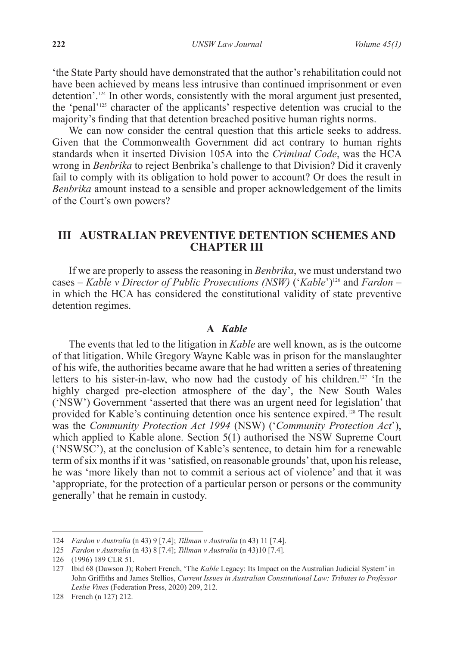'the State Party should have demonstrated that the author's rehabilitation could not have been achieved by means less intrusive than continued imprisonment or even detention'.124 In other words, consistently with the moral argument just presented, the 'penal'125 character of the applicants' respective detention was crucial to the majority's finding that that detention breached positive human rights norms.

We can now consider the central question that this article seeks to address. Given that the Commonwealth Government did act contrary to human rights standards when it inserted Division 105A into the *Criminal Code*, was the HCA wrong in *Benbrika* to reject Benbrika's challenge to that Division? Did it cravenly fail to comply with its obligation to hold power to account? Or does the result in *Benbrika* amount instead to a sensible and proper acknowledgement of the limits of the Court's own powers?

## **III AUSTRALIAN PREVENTIVE DETENTION SCHEMES AND CHAPTER III**

If we are properly to assess the reasoning in *Benbrika*, we must understand two cases – *Kable v Director of Public Prosecutions (NSW)* ('*Kable*')126 and *Fardon* – in which the HCA has considered the constitutional validity of state preventive detention regimes.

### **A** *Kable*

The events that led to the litigation in *Kable* are well known, as is the outcome of that litigation. While Gregory Wayne Kable was in prison for the manslaughter of his wife, the authorities became aware that he had written a series of threatening letters to his sister-in-law, who now had the custody of his children.127 'In the highly charged pre-election atmosphere of the day', the New South Wales ('NSW') Government 'asserted that there was an urgent need for legislation' that provided for Kable's continuing detention once his sentence expired.<sup>128</sup> The result was the *Community Protection Act 1994* (NSW) ('*Community Protection Act*'), which applied to Kable alone. Section 5(1) authorised the NSW Supreme Court ('NSWSC'), at the conclusion of Kable's sentence, to detain him for a renewable term of six months if it was 'satisfied, on reasonable grounds' that, upon his release, he was 'more likely than not to commit a serious act of violence' and that it was 'appropriate, for the protection of a particular person or persons or the community generally' that he remain in custody.

<sup>124</sup> *Fardon v Australia* (n 43) 9 [7.4]; *Tillman v Australia* (n 43) 11 [7.4].

<sup>125</sup> *Fardon v Australia* (n 43) 8 [7.4]; *Tillman v Australia* (n 43)10 [7.4].

<sup>126</sup> (1996) 189 CLR 51.

<sup>127</sup> Ibid 68 (Dawson J); Robert French, 'The *Kable* Legacy: Its Impact on the Australian Judicial System' in John Griffiths and James Stellios, *Current Issues in Australian Constitutional Law: Tributes to Professor Leslie Vines* (Federation Press, 2020) 209, 212.

<sup>128</sup> French (n 127) 212.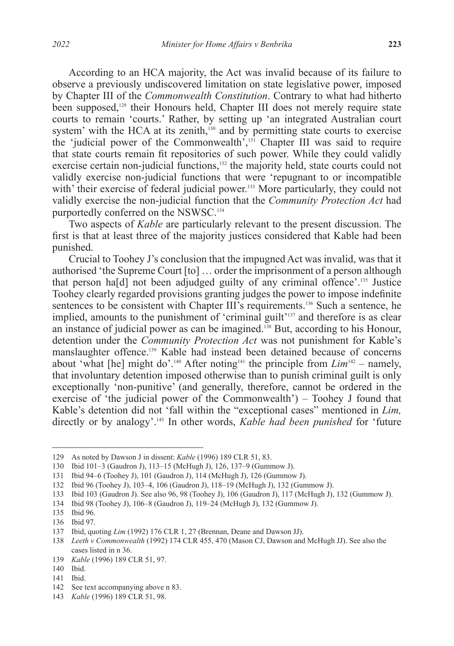According to an HCA majority, the Act was invalid because of its failure to observe a previously undiscovered limitation on state legislative power, imposed by Chapter III of the *Commonwealth Constitution*. Contrary to what had hitherto been supposed,<sup>129</sup> their Honours held, Chapter III does not merely require state courts to remain 'courts.' Rather, by setting up 'an integrated Australian court system' with the HCA at its zenith,<sup>130</sup> and by permitting state courts to exercise the 'judicial power of the Commonwealth',131 Chapter III was said to require that state courts remain fit repositories of such power. While they could validly exercise certain non-judicial functions,<sup>132</sup> the majority held, state courts could not validly exercise non-judicial functions that were 'repugnant to or incompatible with' their exercise of federal judicial power.<sup>133</sup> More particularly, they could not validly exercise the non-judicial function that the *Community Protection Act* had purportedly conferred on the NSWSC.<sup>134</sup>

Two aspects of *Kable* are particularly relevant to the present discussion. The first is that at least three of the majority justices considered that Kable had been punished.

Crucial to Toohey J's conclusion that the impugned Act was invalid, was that it authorised 'the Supreme Court [to] … order the imprisonment of a person although that person ha<sup>[d]</sup> not been adjudged guilty of any criminal offence'.<sup>135</sup> Justice Toohey clearly regarded provisions granting judges the power to impose indefinite sentences to be consistent with Chapter III's requirements.<sup>136</sup> Such a sentence, he implied, amounts to the punishment of 'criminal guilt'<sup>137</sup> and therefore is as clear an instance of judicial power as can be imagined.138 But, according to his Honour, detention under the *Community Protection Act* was not punishment for Kable's manslaughter offence.<sup>139</sup> Kable had instead been detained because of concerns about 'what [he] might do'.<sup>140</sup> After noting<sup>141</sup> the principle from  $Lim^{142}$  – namely, that involuntary detention imposed otherwise than to punish criminal guilt is only exceptionally 'non-punitive' (and generally, therefore, cannot be ordered in the exercise of 'the judicial power of the Commonwealth') – Toohey J found that Kable's detention did not 'fall within the "exceptional cases" mentioned in *Lim,*  directly or by analogy'.143 In other words, *Kable had been punished* for 'future

142 See text accompanying above n 83.

<sup>129</sup> As noted by Dawson J in dissent: *Kable* (1996) 189 CLR 51, 83.

<sup>130</sup> Ibid 101–3 (Gaudron J), 113–15 (McHugh J), 126, 137–9 (Gummow J).

<sup>131</sup> Ibid 94–6 (Toohey J), 101 (Gaudron J), 114 (McHugh J), 126 (Gummow J).

<sup>132</sup> Ibid 96 (Toohey J), 103–4, 106 (Gaudron J), 118–19 (McHugh J), 132 (Gummow J).

<sup>133</sup> Ibid 103 (Gaudron J). See also 96, 98 (Toohey J), 106 (Gaudron J), 117 (McHugh J), 132 (Gummow J).

<sup>134</sup> Ibid 98 (Toohey J), 106–8 (Gaudron J), 119–24 (McHugh J), 132 (Gummow J).

<sup>135</sup> Ibid 96.

<sup>136</sup> Ibid 97.

<sup>137</sup> Ibid, quoting *Lim* (1992) 176 CLR 1, 27 (Brennan, Deane and Dawson JJ).

<sup>138</sup> *Leeth v Commonwealth* (1992) 174 CLR 455, 470 (Mason CJ, Dawson and McHugh JJ). See also the cases listed in n 36.

<sup>139</sup> *Kable* (1996) 189 CLR 51, 97.

<sup>140</sup> Ibid.

<sup>141</sup> Ibid.

<sup>143</sup> *Kable* (1996) 189 CLR 51, 98.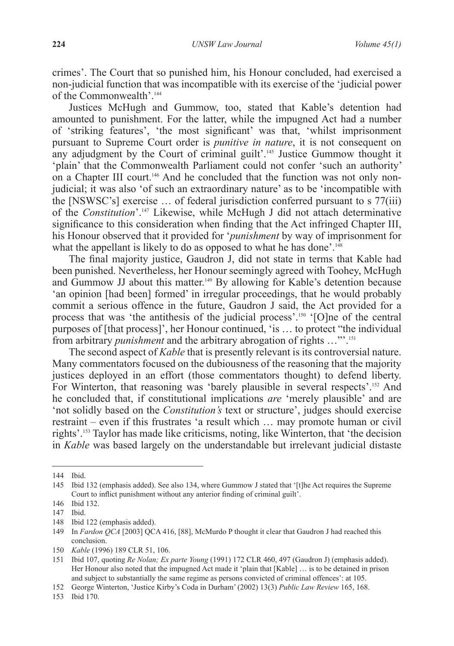crimes'. The Court that so punished him, his Honour concluded, had exercised a non-judicial function that was incompatible with its exercise of the 'judicial power of the Commonwealth'.144

Justices McHugh and Gummow, too, stated that Kable's detention had amounted to punishment. For the latter, while the impugned Act had a number of 'striking features', 'the most significant' was that, 'whilst imprisonment pursuant to Supreme Court order is *punitive in nature*, it is not consequent on any adjudgment by the Court of criminal guilt'.<sup>145</sup> Justice Gummow thought it 'plain' that the Commonwealth Parliament could not confer 'such an authority' on a Chapter III court.<sup>146</sup> And he concluded that the function was not only nonjudicial; it was also 'of such an extraordinary nature' as to be 'incompatible with the [NSWSC's] exercise … of federal jurisdiction conferred pursuant to s 77(iii) of the *Constitution*'.147 Likewise, while McHugh J did not attach determinative significance to this consideration when finding that the Act infringed Chapter III, his Honour observed that it provided for '*punishment* by way of imprisonment for what the appellant is likely to do as opposed to what he has done'.<sup>148</sup>

The final majority justice, Gaudron J, did not state in terms that Kable had been punished. Nevertheless, her Honour seemingly agreed with Toohey, McHugh and Gummow JJ about this matter.<sup>149</sup> By allowing for Kable's detention because 'an opinion [had been] formed' in irregular proceedings, that he would probably commit a serious offence in the future, Gaudron J said, the Act provided for a process that was 'the antithesis of the judicial process'.<sup>150</sup> '[O]ne of the central purposes of [that process]', her Honour continued, 'is … to protect "the individual from arbitrary *punishment* and the arbitrary abrogation of rights …"'.151

The second aspect of *Kable* that is presently relevant is its controversial nature. Many commentators focused on the dubiousness of the reasoning that the majority justices deployed in an effort (those commentators thought) to defend liberty. For Winterton, that reasoning was 'barely plausible in several respects'.<sup>152</sup> And he concluded that, if constitutional implications *are* 'merely plausible' and are 'not solidly based on the *Constitution's* text or structure', judges should exercise restraint *–* even if this frustrates 'a result which … may promote human or civil rights'.153 Taylor has made like criticisms, noting, like Winterton, that 'the decision in *Kable* was based largely on the understandable but irrelevant judicial distaste

<sup>144</sup> Ibid.

<sup>145</sup> Ibid 132 (emphasis added). See also 134, where Gummow J stated that '[t]he Act requires the Supreme Court to inflict punishment without any anterior finding of criminal guilt'.

<sup>146</sup> Ibid 132.

<sup>147</sup> Ibid.

<sup>148</sup> Ibid 122 (emphasis added).

<sup>149</sup> In *Fardon QCA* [2003] QCA 416, [88], McMurdo P thought it clear that Gaudron J had reached this conclusion.

<sup>150</sup> *Kable* (1996) 189 CLR 51, 106.

<sup>151</sup> Ibid 107, quoting *Re Nolan; Ex parte Young* (1991) 172 CLR 460, 497 (Gaudron J) (emphasis added). Her Honour also noted that the impugned Act made it 'plain that [Kable] … is to be detained in prison and subject to substantially the same regime as persons convicted of criminal offences': at 105.

<sup>152</sup> George Winterton, 'Justice Kirby's Coda in Durham' (2002) 13(3) *Public Law Review* 165, 168.

<sup>153</sup> Ibid 170.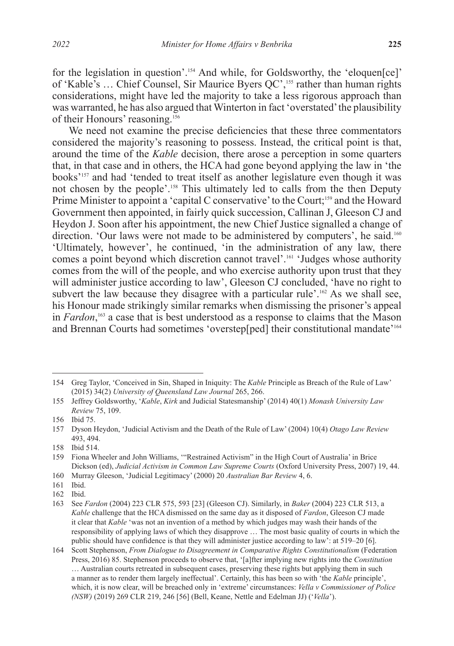for the legislation in question'.154 And while, for Goldsworthy, the 'eloquen[ce]' of 'Kable's … Chief Counsel, Sir Maurice Byers QC',155 rather than human rights considerations, might have led the majority to take a less rigorous approach than was warranted, he has also argued that Winterton in fact 'overstated' the plausibility of their Honours' reasoning.156

We need not examine the precise deficiencies that these three commentators considered the majority's reasoning to possess. Instead, the critical point is that, around the time of the *Kable* decision, there arose a perception in some quarters that, in that case and in others, the HCA had gone beyond applying the law in 'the books'157 and had 'tended to treat itself as another legislature even though it was not chosen by the people'.<sup>158</sup> This ultimately led to calls from the then Deputy Prime Minister to appoint a 'capital C conservative' to the Court;<sup>159</sup> and the Howard Government then appointed, in fairly quick succession, Callinan J, Gleeson CJ and Heydon J. Soon after his appointment, the new Chief Justice signalled a change of direction. 'Our laws were not made to be administered by computers', he said.<sup>160</sup> 'Ultimately, however', he continued, 'in the administration of any law, there comes a point beyond which discretion cannot travel'.<sup>161</sup> 'Judges whose authority comes from the will of the people, and who exercise authority upon trust that they will administer justice according to law', Gleeson CJ concluded, 'have no right to subvert the law because they disagree with a particular rule'.<sup>162</sup> As we shall see, his Honour made strikingly similar remarks when dismissing the prisoner's appeal in *Fardon*, 163 a case that is best understood as a response to claims that the Mason and Brennan Courts had sometimes 'overstep[ped] their constitutional mandate'164

<sup>154</sup> Greg Taylor, 'Conceived in Sin, Shaped in Iniquity: The *Kable* Principle as Breach of the Rule of Law' (2015) 34(2) *University of Queensland Law Journal* 265, 266.

<sup>155</sup> Jeffrey Goldsworthy, '*Kable*, *Kirk* and Judicial Statesmanship' (2014) 40(1) *Monash University Law Review* 75, 109.

<sup>156</sup> Ibid 75.

<sup>157</sup> Dyson Heydon, 'Judicial Activism and the Death of the Rule of Law' (2004) 10(4) *Otago Law Review*  493, 494.

<sup>158</sup> Ibid 514.

<sup>159</sup> Fiona Wheeler and John Williams, '"Restrained Activism" in the High Court of Australia' in Brice Dickson (ed), *Judicial Activism in Common Law Supreme Courts* (Oxford University Press, 2007) 19, 44.

<sup>160</sup> Murray Gleeson, 'Judicial Legitimacy' (2000) 20 *Australian Bar Review* 4, 6.

<sup>161</sup> Ibid.

<sup>162</sup> Ibid.

<sup>163</sup> See *Fardon* (2004) 223 CLR 575, 593 [23] (Gleeson CJ). Similarly, in *Baker* (2004) 223 CLR 513, a *Kable* challenge that the HCA dismissed on the same day as it disposed of *Fardon*, Gleeson CJ made it clear that *Kable* 'was not an invention of a method by which judges may wash their hands of the responsibility of applying laws of which they disapprove … The most basic quality of courts in which the public should have confidence is that they will administer justice according to law': at 519–20 [6].

<sup>164</sup> Scott Stephenson, *From Dialogue to Disagreement in Comparative Rights Constitutionalism* (Federation Press, 2016) 85. Stephenson proceeds to observe that, '[a]fter implying new rights into the *Constitution* … Australian courts retreated in subsequent cases, preserving these rights but applying them in such a manner as to render them largely ineffectual'. Certainly, this has been so with 'the *Kable* principle', which, it is now clear, will be breached only in 'extreme' circumstances: *Vella v Commissioner of Police (NSW)* (2019) 269 CLR 219, 246 [56] (Bell, Keane, Nettle and Edelman JJ) ('*Vella*').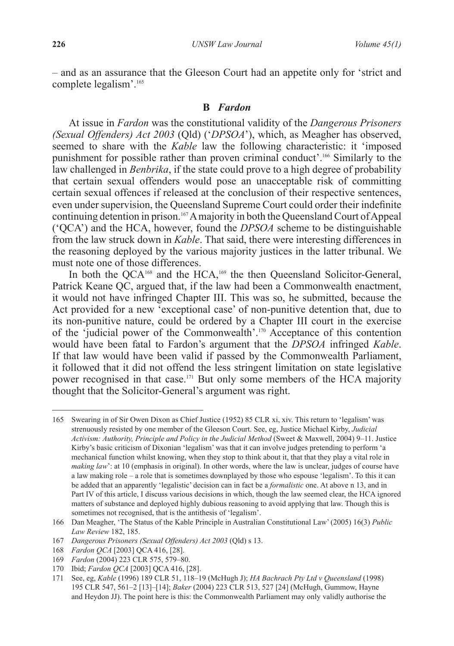*–* and as an assurance that the Gleeson Court had an appetite only for 'strict and complete legalism'.165

### **B** *Fardon*

At issue in *Fardon* was the constitutional validity of the *Dangerous Prisoners (Sexual Offenders) Act 2003* (Qld) ('*DPSOA*'), which, as Meagher has observed, seemed to share with the *Kable* law the following characteristic: it 'imposed punishment for possible rather than proven criminal conduct'.166 Similarly to the law challenged in *Benbrika*, if the state could prove to a high degree of probability that certain sexual offenders would pose an unacceptable risk of committing certain sexual offences if released at the conclusion of their respective sentences, even under supervision, the Queensland Supreme Court could order their indefinite continuing detention in prison.167 A majority in both the Queensland Court of Appeal ('QCA') and the HCA, however, found the *DPSOA* scheme to be distinguishable from the law struck down in *Kable*. That said, there were interesting differences in the reasoning deployed by the various majority justices in the latter tribunal. We must note one of those differences.

In both the QCA<sup>168</sup> and the HCA,<sup>169</sup> the then Queensland Solicitor-General, Patrick Keane QC, argued that, if the law had been a Commonwealth enactment, it would not have infringed Chapter III. This was so, he submitted, because the Act provided for a new 'exceptional case' of non-punitive detention that, due to its non-punitive nature, could be ordered by a Chapter III court in the exercise of the 'judicial power of the Commonwealth'.170 Acceptance of this contention would have been fatal to Fardon's argument that the *DPSOA* infringed *Kable*. If that law would have been valid if passed by the Commonwealth Parliament, it followed that it did not offend the less stringent limitation on state legislative power recognised in that case.<sup>171</sup> But only some members of the HCA majority thought that the Solicitor-General's argument was right.

<sup>165</sup> Swearing in of Sir Owen Dixon as Chief Justice (1952) 85 CLR xi, xiv. This return to 'legalism' was strenuously resisted by one member of the Gleeson Court. See, eg, Justice Michael Kirby, *Judicial Activism: Authority, Principle and Policy in the Judicial Method* (Sweet & Maxwell, 2004) 9–11. Justice Kirby's basic criticism of Dixonian 'legalism' was that it can involve judges pretending to perform 'a mechanical function whilst knowing, when they stop to think about it, that that they play a vital role in *making law*': at 10 (emphasis in original). In other words, where the law is unclear, judges of course have a law making role – a role that is sometimes downplayed by those who espouse 'legalism'. To this it can be added that an apparently 'legalistic' decision can in fact be a *formalistic* one. At above n 13, and in Part IV of this article, I discuss various decisions in which, though the law seemed clear, the HCA ignored matters of substance and deployed highly dubious reasoning to avoid applying that law. Though this is sometimes not recognised, that is the antithesis of 'legalism'.

<sup>166</sup> Dan Meagher, 'The Status of the Kable Principle in Australian Constitutional Law' (2005) 16(3) *Public Law Review* 182, 185.

<sup>167</sup> *Dangerous Prisoners (Sexual Offenders) Act 2003* (Qld) s 13.

<sup>168</sup> *Fardon QCA* [2003] QCA 416, [28].

<sup>169</sup> *Fardon* (2004) 223 CLR 575, 579–80.

<sup>170</sup> Ibid; *Fardon QCA* [2003] QCA 416, [28].

<sup>171</sup> See, eg, *Kable* (1996) 189 CLR 51, 118–19 (McHugh J); *HA Bachrach Pty Ltd v Queensland* (1998) 195 CLR 547, 561–2 [13]–[14]; *Baker* (2004) 223 CLR 513, 527 [24] (McHugh, Gummow, Hayne and Heydon JJ). The point here is this: the Commonwealth Parliament may only validly authorise the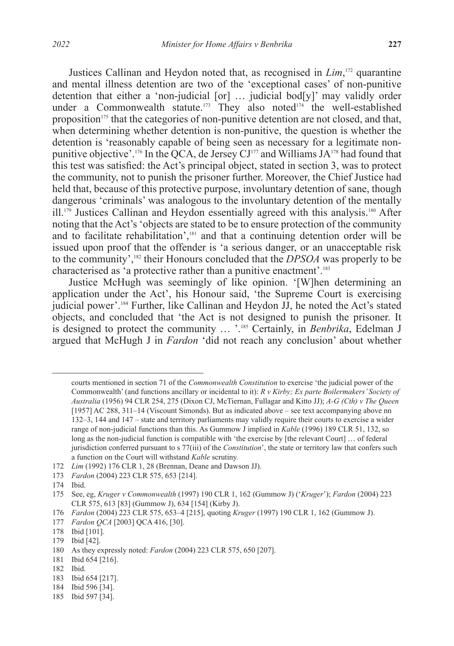Justices Callinan and Heydon noted that, as recognised in *Lim*, 172 quarantine and mental illness detention are two of the 'exceptional cases' of non-punitive detention that either a 'non-judicial [or] … judicial bod[y]' may validly order under a Commonwealth statute.<sup>173</sup> They also noted<sup>174</sup> the well-established proposition<sup>175</sup> that the categories of non-punitive detention are not closed, and that, when determining whether detention is non-punitive, the question is whether the detention is 'reasonably capable of being seen as necessary for a legitimate nonpunitive objective'.<sup>176</sup> In the QCA, de Jersey CJ<sup>177</sup> and Williams JA<sup>178</sup> had found that this test was satisfied: the Act's principal object, stated in section 3, was to protect the community, not to punish the prisoner further. Moreover, the Chief Justice had held that, because of this protective purpose, involuntary detention of sane, though dangerous 'criminals' was analogous to the involuntary detention of the mentally  $i$ ll.<sup>179</sup> Justices Callinan and Heydon essentially agreed with this analysis.<sup>180</sup> After noting that the Act's 'objects are stated to be to ensure protection of the community and to facilitate rehabilitation',<sup>181</sup> and that a continuing detention order will be issued upon proof that the offender is 'a serious danger, or an unacceptable risk to the community',182 their Honours concluded that the *DPSOA* was properly to be characterised as 'a protective rather than a punitive enactment'.183

Justice McHugh was seemingly of like opinion. '[W]hen determining an application under the Act', his Honour said, 'the Supreme Court is exercising judicial power'.184 Further, like Callinan and Heydon JJ, he noted the Act's stated objects, and concluded that 'the Act is not designed to punish the prisoner. It is designed to protect the community … '.185 Certainly, in *Benbrika*, Edelman J argued that McHugh J in *Fardon* 'did not reach any conclusion' about whether

courts mentioned in section 71 of the *Commonwealth Constitution* to exercise 'the judicial power of the Commonwealth' (and functions ancillary or incidental to it): *R v Kirby; Ex parte Boilermakers' Society of Australia* (1956) 94 CLR 254, 275 (Dixon CJ, McTiernan, Fullagar and Kitto JJ); *A-G (Cth) v The Queen*  [1957] AC 288, 311–14 (Viscount Simonds). But as indicated above – see text accompanying above nn 132–3, 144 and 147 – state and territory parliaments may validly require their courts to exercise a wider range of non-judicial functions than this. As Gummow J implied in *Kable* (1996) 189 CLR 51, 132, so long as the non-judicial function is compatible with 'the exercise by [the relevant Court] … of federal jurisdiction conferred pursuant to s 77(iii) of the *Constitution*', the state or territory law that confers such a function on the Court will withstand *Kable* scrutiny.

<sup>172</sup> *Lim* (1992) 176 CLR 1, 28 (Brennan, Deane and Dawson JJ).

<sup>173</sup> *Fardon* (2004) 223 CLR 575, 653 [214].

<sup>174</sup> Ibid.

<sup>175</sup> See, eg, *Kruger v Commonwealth* (1997) 190 CLR 1, 162 (Gummow J) ('*Kruger*'); *Fardon* (2004) 223 CLR 575, 613 [83] (Gummow J), 634 [154] (Kirby J).

<sup>176</sup> *Fardon* (2004) 223 CLR 575, 653–4 [215], quoting *Kruger* (1997) 190 CLR 1, 162 (Gummow J).

<sup>177</sup> *Fardon QCA* [2003] QCA 416, [30].

<sup>178</sup> Ibid [101].

<sup>179</sup> Ibid [42].

<sup>180</sup> As they expressly noted: *Fardon* (2004) 223 CLR 575, 650 [207].

<sup>181</sup> Ibid 654 [216].

<sup>182</sup> Ibid.

<sup>183</sup> Ibid 654 [217].

<sup>184</sup> Ibid 596 [34].

<sup>185</sup> Ibid 597 [34].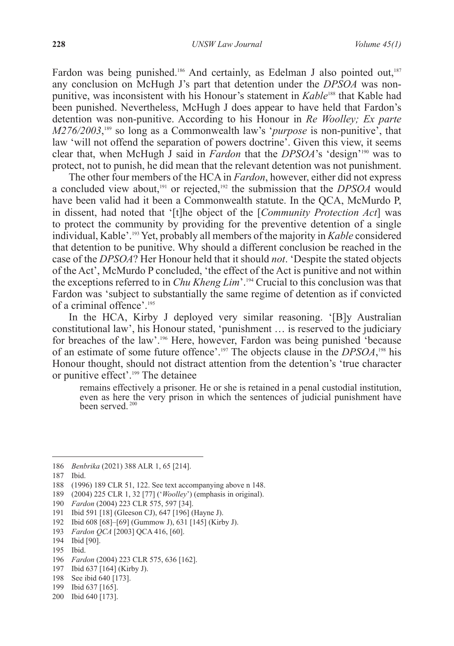Fardon was being punished.<sup>186</sup> And certainly, as Edelman J also pointed out,<sup>187</sup> any conclusion on McHugh J's part that detention under the *DPSOA* was nonpunitive, was inconsistent with his Honour's statement in *Kable*188 that Kable had been punished. Nevertheless, McHugh J does appear to have held that Fardon's detention was non-punitive. According to his Honour in *Re Woolley; Ex parte M276/2003*,<sup>189</sup> so long as a Commonwealth law's '*purpose* is non-punitive', that law 'will not offend the separation of powers doctrine'. Given this view, it seems clear that, when McHugh J said in *Fardon* that the *DPSOA*'s 'design'190 was to protect, not to punish, he did mean that the relevant detention was not punishment.

The other four members of the HCA in *Fardon*, however, either did not express a concluded view about,<sup>191</sup> or rejected,<sup>192</sup> the submission that the *DPSOA* would have been valid had it been a Commonwealth statute. In the QCA, McMurdo P, in dissent, had noted that '[t]he object of the [*Community Protection Act*] was to protect the community by providing for the preventive detention of a single individual, Kable'.193 Yet, probably all members of the majority in *Kable* considered that detention to be punitive. Why should a different conclusion be reached in the case of the *DPSOA*? Her Honour held that it should *not*. 'Despite the stated objects of the Act', McMurdo P concluded, 'the effect of the Act is punitive and not within the exceptions referred to in *Chu Kheng Lim*'.194 Crucial to this conclusion was that Fardon was 'subject to substantially the same regime of detention as if convicted of a criminal offence'.195

In the HCA, Kirby J deployed very similar reasoning. '[B]y Australian constitutional law', his Honour stated, 'punishment … is reserved to the judiciary for breaches of the law'.196 Here, however, Fardon was being punished 'because of an estimate of some future offence'.197 The objects clause in the *DPSOA*, 198 his Honour thought, should not distract attention from the detention's 'true character or punitive effect'.199 The detainee

remains effectively a prisoner. He or she is retained in a penal custodial institution, even as here the very prison in which the sentences of judicial punishment have been served.<sup>200</sup>

- 196 *Fardon* (2004) 223 CLR 575, 636 [162].
- 197 Ibid 637 [164] (Kirby J).
- 198 See ibid 640 [173].
- 199 Ibid 637 [165].
- 200 Ibid 640 [173].

<sup>186</sup> *Benbrika* (2021) 388 ALR 1, 65 [214].

<sup>187</sup> Ibid.

<sup>188</sup> (1996) 189 CLR 51, 122. See text accompanying above n 148.

<sup>189</sup> (2004) 225 CLR 1, 32 [77] ('*Woolley*') (emphasis in original).

<sup>190</sup> *Fardon* (2004) 223 CLR 575, 597 [34].

<sup>191</sup> Ibid 591 [18] (Gleeson CJ), 647 [196] (Hayne J).

<sup>192</sup> Ibid 608 [68]–[69] (Gummow J), 631 [145] (Kirby J).

<sup>193</sup> *Fardon QCA* [2003] QCA 416, [60].

<sup>194</sup> Ibid [90].

<sup>195</sup> Ibid.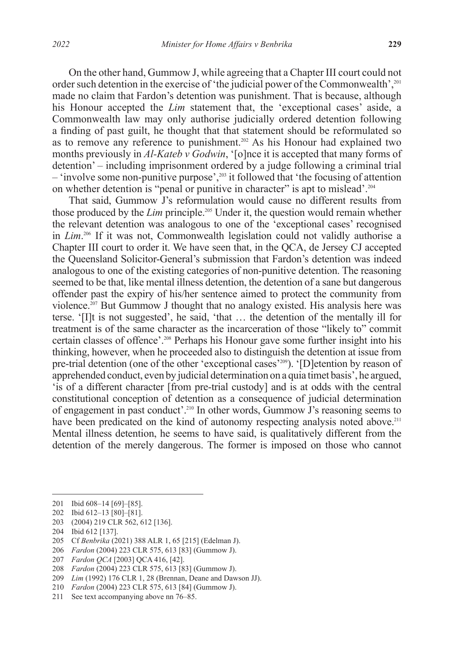On the other hand, Gummow J, while agreeing that a Chapter III court could not order such detention in the exercise of 'the judicial power of the Commonwealth',<sup>201</sup> made no claim that Fardon's detention was punishment. That is because, although his Honour accepted the *Lim* statement that, the 'exceptional cases' aside, a Commonwealth law may only authorise judicially ordered detention following a finding of past guilt, he thought that that statement should be reformulated so as to remove any reference to punishment.<sup>202</sup> As his Honour had explained two months previously in *Al-Kateb v Godwin*, '[o]nce it is accepted that many forms of detention' *–* including imprisonment ordered by a judge following a criminal trial *–* 'involve some non-punitive purpose',203 it followed that 'the focusing of attention on whether detention is "penal or punitive in character" is apt to mislead'.<sup>204</sup>

That said, Gummow J's reformulation would cause no different results from those produced by the *Lim* principle.205 Under it, the question would remain whether the relevant detention was analogous to one of the 'exceptional cases' recognised in *Lim*. 206 If it was not, Commonwealth legislation could not validly authorise a Chapter III court to order it. We have seen that, in the QCA, de Jersey CJ accepted the Queensland Solicitor-General's submission that Fardon's detention was indeed analogous to one of the existing categories of non-punitive detention. The reasoning seemed to be that, like mental illness detention, the detention of a sane but dangerous offender past the expiry of his/her sentence aimed to protect the community from violence.207 But Gummow J thought that no analogy existed. His analysis here was terse. '[I]t is not suggested', he said, 'that … the detention of the mentally ill for treatment is of the same character as the incarceration of those "likely to" commit certain classes of offence'.<sup>208</sup> Perhaps his Honour gave some further insight into his thinking, however, when he proceeded also to distinguish the detention at issue from pre-trial detention (one of the other 'exceptional cases'209). '[D]etention by reason of apprehended conduct, even by judicial determination on a quia timet basis', he argued, 'is of a different character [from pre-trial custody] and is at odds with the central constitutional conception of detention as a consequence of judicial determination of engagement in past conduct'.210 In other words, Gummow J's reasoning seems to have been predicated on the kind of autonomy respecting analysis noted above.<sup>211</sup> Mental illness detention, he seems to have said, is qualitatively different from the detention of the merely dangerous. The former is imposed on those who cannot

<sup>201</sup> Ibid 608–14 [69]–[85].

<sup>202</sup> Ibid 612–13 [80]–[81].

<sup>203</sup> (2004) 219 CLR 562, 612 [136].

<sup>204</sup> Ibid 612 [137].

<sup>205</sup> Cf *Benbrika* (2021) 388 ALR 1, 65 [215] (Edelman J).

<sup>206</sup> *Fardon* (2004) 223 CLR 575, 613 [83] (Gummow J).

<sup>207</sup> *Fardon QCA* [2003] QCA 416, [42].

<sup>208</sup> *Fardon* (2004) 223 CLR 575, 613 [83] (Gummow J).

<sup>209</sup> *Lim* (1992) 176 CLR 1, 28 (Brennan, Deane and Dawson JJ).

<sup>210</sup> *Fardon* (2004) 223 CLR 575, 613 [84] (Gummow J).

<sup>211</sup> See text accompanying above nn 76–85.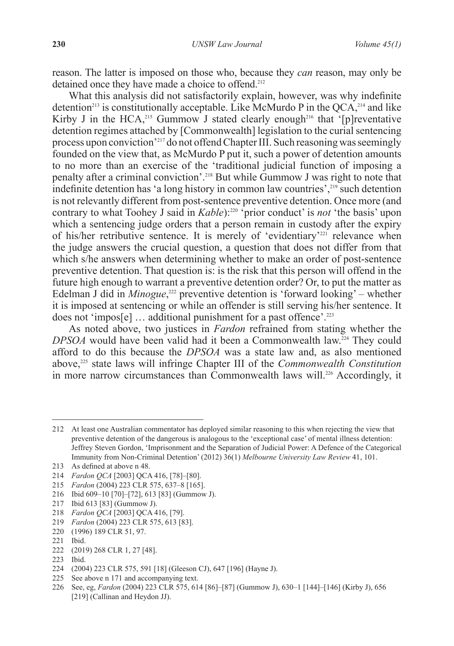reason. The latter is imposed on those who, because they *can* reason, may only be detained once they have made a choice to offend.<sup>212</sup>

What this analysis did not satisfactorily explain, however, was why indefinite detention<sup>213</sup> is constitutionally acceptable. Like McMurdo P in the  $QCA$ <sup>214</sup> and like Kirby J in the HCA,<sup>215</sup> Gummow J stated clearly enough<sup>216</sup> that '[p]reventative detention regimes attached by [Commonwealth] legislation to the curial sentencing process upon conviction'217 do not offend Chapter III. Such reasoning was seemingly founded on the view that, as McMurdo P put it, such a power of detention amounts to no more than an exercise of the 'traditional judicial function of imposing a penalty after a criminal conviction'.218 But while Gummow J was right to note that indefinite detention has 'a long history in common law countries', $2^{19}$  such detention is not relevantly different from post-sentence preventive detention. Once more (and contrary to what Toohey J said in *Kable*):<sup>220</sup> 'prior conduct' is *not* 'the basis' upon which a sentencing judge orders that a person remain in custody after the expiry of his/her retributive sentence. It is merely of 'evidentiary'<sup>221</sup> relevance when the judge answers the crucial question, a question that does not differ from that which s/he answers when determining whether to make an order of post-sentence preventive detention. That question is: is the risk that this person will offend in the future high enough to warrant a preventive detention order? Or, to put the matter as Edelman J did in *Minogue*,<sup>222</sup> preventive detention is 'forward looking' – whether it is imposed at sentencing or while an offender is still serving his/her sentence. It does not 'impos[e]  $\dots$  additional punishment for a past offence'.<sup>223</sup>

As noted above, two justices in *Fardon* refrained from stating whether the *DPSOA* would have been valid had it been a Commonwealth law.224 They could afford to do this because the *DPSOA* was a state law and, as also mentioned above,225 state laws will infringe Chapter III of the *Commonwealth Constitution*  in more narrow circumstances than Commonwealth laws will.<sup>226</sup> Accordingly, it

212 At least one Australian commentator has deployed similar reasoning to this when rejecting the view that preventive detention of the dangerous is analogous to the 'exceptional case' of mental illness detention: Jeffrey Steven Gordon, 'Imprisonment and the Separation of Judicial Power: A Defence of the Categorical Immunity from Non-Criminal Detention' (2012) 36(1) *Melbourne University Law Review* 41, 101.

217 Ibid 613 [83] (Gummow J).

- 224 (2004) 223 CLR 575, 591 [18] (Gleeson CJ), 647 [196] (Hayne J).
- 225 See above n 171 and accompanying text.
- 226 See, eg, *Fardon* (2004) 223 CLR 575, 614 [86]–[87] (Gummow J), 630–1 [144]–[146] (Kirby J), 656 [219] (Callinan and Heydon JJ).

<sup>213</sup> As defined at above n 48.

<sup>214</sup> *Fardon QCA* [2003] QCA 416, [78]–[80].

<sup>215</sup> *Fardon* (2004) 223 CLR 575, 637–8 [165].

<sup>216</sup> Ibid 609–10 [70]–[72], 613 [83] (Gummow J).

<sup>218</sup> *Fardon QCA* [2003] QCA 416, [79].

<sup>219</sup> *Fardon* (2004) 223 CLR 575, 613 [83].

<sup>220</sup> (1996) 189 CLR 51, 97.

<sup>221</sup> Ibid.

<sup>222</sup> (2019) 268 CLR 1, 27 [48].

<sup>223</sup> Ibid.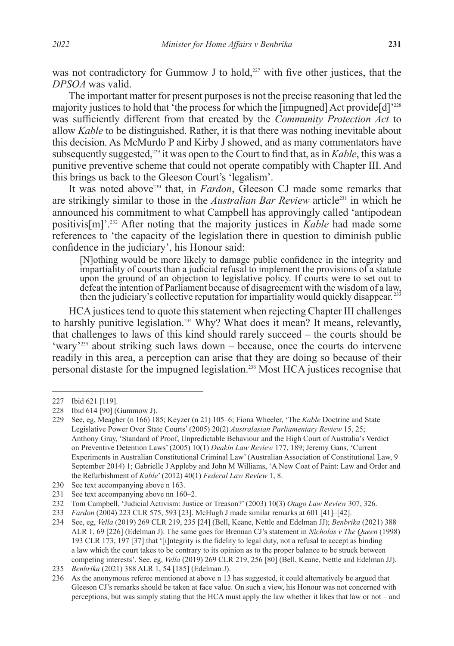was not contradictory for Gummow J to hold,<sup>227</sup> with five other justices, that the *DPSOA* was valid.

The important matter for present purposes is not the precise reasoning that led the majority justices to hold that 'the process for which the  $\lim_{x \to a}$  Act provide [d]'<sup>228</sup> was sufficiently different from that created by the *Community Protection Act* to allow *Kable* to be distinguished. Rather, it is that there was nothing inevitable about this decision. As McMurdo P and Kirby J showed, and as many commentators have subsequently suggested,<sup>229</sup> it was open to the Court to find that, as in *Kable*, this was a punitive preventive scheme that could not operate compatibly with Chapter III. And this brings us back to the Gleeson Court's 'legalism'.

It was noted above<sup>230</sup> that, in *Fardon*, Gleeson CJ made some remarks that are strikingly similar to those in the *Australian Bar Review* article<sup>231</sup> in which he announced his commitment to what Campbell has approvingly called 'antipodean positivis[m]'.232 After noting that the majority justices in *Kable* had made some references to 'the capacity of the legislation there in question to diminish public confidence in the judiciary', his Honour said:

[N]othing would be more likely to damage public confidence in the integrity and impartiality of courts than a judicial refusal to implement the provisions of a statute upon the ground of an objection to legislative policy. If courts were to set out to defeat the intention of Parliament because of disagreement with the wisdom of a law, then the judiciary's collective reputation for impartiality would quickly disappear.<sup>233</sup>

HCA justices tend to quote this statement when rejecting Chapter III challenges to harshly punitive legislation.<sup>234</sup> Why? What does it mean? It means, relevantly, that challenges to laws of this kind should rarely succeed – the courts should be 'wary'235 about striking such laws down *–* because, once the courts do intervene readily in this area, a perception can arise that they are doing so because of their personal distaste for the impugned legislation.236 Most HCA justices recognise that

- 230 See text accompanying above n 163.
- 231 See text accompanying above nn 160–2.

<sup>227</sup> Ibid 621 [119].

<sup>228</sup> Ibid 614 [90] (Gummow J).

<sup>229</sup> See, eg, Meagher (n 166) 185; Keyzer (n 21) 105–6; Fiona Wheeler, 'The *Kable* Doctrine and State Legislative Power Over State Courts' (2005) 20(2) *Australasian Parliamentary Review* 15, 25; Anthony Gray, 'Standard of Proof, Unpredictable Behaviour and the High Court of Australia's Verdict on Preventive Detention Laws' (2005) 10(1) *Deakin Law Review* 177, 189; Jeremy Gans, 'Current Experiments in Australian Constitutional Criminal Law' (Australian Association of Constitutional Law, 9 September 2014) 1; Gabrielle J Appleby and John M Williams, 'A New Coat of Paint: Law and Order and the Refurbishment of *Kable*' (2012) 40(1) *Federal Law Review* 1, 8.

<sup>232</sup> Tom Campbell, 'Judicial Activism: Justice or Treason?' (2003) 10(3) *Otago Law Review* 307, 326.

<sup>233</sup> *Fardon* (2004) 223 CLR 575, 593 [23]. McHugh J made similar remarks at 601 [41]–[42].

<sup>234</sup> See, eg, *Vella* (2019) 269 CLR 219, 235 [24] (Bell, Keane, Nettle and Edelman JJ); *Benbrika* (2021) 388 ALR 1, 69 [226] (Edelman J). The same goes for Brennan CJ's statement in *Nicholas v The Queen* (1998) 193 CLR 173, 197 [37] that '[i]ntegrity is the fidelity to legal duty, not a refusal to accept as binding a law which the court takes to be contrary to its opinion as to the proper balance to be struck between competing interests'. See, eg, *Vella* (2019) 269 CLR 219, 256 [80] (Bell, Keane, Nettle and Edelman JJ).

<sup>235</sup> *Benbrika* (2021) 388 ALR 1, 54 [185] (Edelman J).

<sup>236</sup> As the anonymous referee mentioned at above n 13 has suggested, it could alternatively be argued that Gleeson CJ's remarks should be taken at face value. On such a view, his Honour was not concerned with perceptions, but was simply stating that the HCA must apply the law whether it likes that law or not – and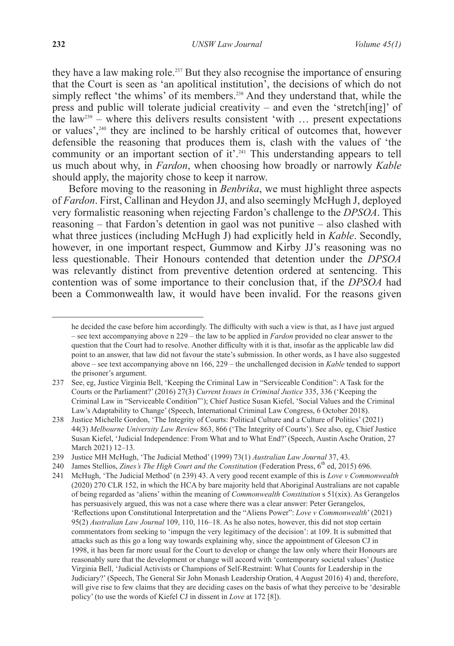they have a law making role.<sup>237</sup> But they also recognise the importance of ensuring that the Court is seen as 'an apolitical institution', the decisions of which do not simply reflect 'the whims' of its members.<sup>238</sup> And they understand that, while the press and public will tolerate judicial creativity *–* and even the 'stretch[ing]' of the law239 *–* where this delivers results consistent 'with … present expectations or values',<sup>240</sup> they are inclined to be harshly critical of outcomes that, however defensible the reasoning that produces them is, clash with the values of 'the community or an important section of it'.<sup>241</sup> This understanding appears to tell us much about why, in *Fardon*, when choosing how broadly or narrowly *Kable*  should apply, the majority chose to keep it narrow.

Before moving to the reasoning in *Benbrika*, we must highlight three aspects of *Fardon*. First, Callinan and Heydon JJ, and also seemingly McHugh J, deployed very formalistic reasoning when rejecting Fardon's challenge to the *DPSOA*. This reasoning – that Fardon's detention in gaol was not punitive – also clashed with what three justices (including McHugh J) had explicitly held in *Kable*. Secondly, however, in one important respect, Gummow and Kirby JJ's reasoning was no less questionable. Their Honours contended that detention under the *DPSOA* was relevantly distinct from preventive detention ordered at sentencing. This contention was of some importance to their conclusion that, if the *DPSOA* had been a Commonwealth law, it would have been invalid. For the reasons given

he decided the case before him accordingly. The difficulty with such a view is that, as I have just argued – see text accompanying above n 229 – the law to be applied in *Fardon* provided no clear answer to the question that the Court had to resolve. Another difficulty with it is that, insofar as the applicable law did point to an answer, that law did not favour the state's submission. In other words, as I have also suggested above – see text accompanying above nn 166, 229 – the unchallenged decision in *Kable* tended to support the prisoner's argument.

<sup>237</sup> See, eg, Justice Virginia Bell, 'Keeping the Criminal Law in "Serviceable Condition": A Task for the Courts or the Parliament?' (2016) 27(3) *Current Issues in Criminal Justice* 335, 336 ('Keeping the Criminal Law in "Serviceable Condition"'); Chief Justice Susan Kiefel, 'Social Values and the Criminal Law's Adaptability to Change' (Speech, International Criminal Law Congress, 6 October 2018).

<sup>238</sup> Justice Michelle Gordon, 'The Integrity of Courts: Political Culture and a Culture of Politics' (2021) 44(3) *Melbourne University Law Review* 863, 866 ('The Integrity of Courts'). See also, eg, Chief Justice Susan Kiefel, 'Judicial Independence: From What and to What End?' (Speech, Austin Asche Oration, 27 March 2021) 12–13.

<sup>239</sup> Justice MH McHugh, 'The Judicial Method' (1999) 73(1) *Australian Law Journal* 37, 43.

<sup>240</sup> James Stellios, *Zines's The High Court and the Constitution* (Federation Press, 6<sup>th</sup> ed, 2015) 696.

<sup>241</sup> McHugh, 'The Judicial Method' (n 239) 43. A very good recent example of this is *Love v Commonwealth*  (2020) 270 CLR 152, in which the HCA by bare majority held that Aboriginal Australians are not capable of being regarded as 'aliens' within the meaning of *Commonwealth Constitution* s 51(xix). As Gerangelos has persuasively argued, this was not a case where there was a clear answer: Peter Gerangelos, 'Reflections upon Constitutional Interpretation and the "Aliens Power": *Love v Commonwealth*' (2021) 95(2) *Australian Law Journal* 109, 110, 116–18. As he also notes, however, this did not stop certain commentators from seeking to 'impugn the very legitimacy of the decision': at 109. It is submitted that attacks such as this go a long way towards explaining why, since the appointment of Gleeson CJ in 1998, it has been far more usual for the Court to develop or change the law only where their Honours are reasonably sure that the development or change will accord with 'contemporary societal values' (Justice Virginia Bell, 'Judicial Activists or Champions of Self-Restraint: What Counts for Leadership in the Judiciary?' (Speech, The General Sir John Monash Leadership Oration, 4 August 2016) 4) and, therefore, will give rise to few claims that they are deciding cases on the basis of what they perceive to be 'desirable policy' (to use the words of Kiefel CJ in dissent in *Love* at 172 [8]).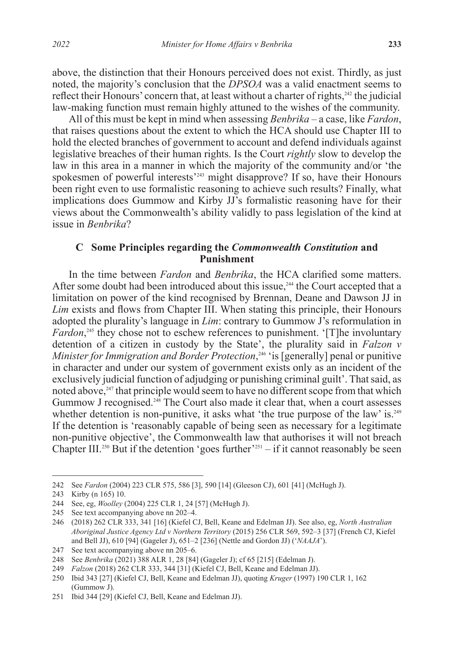above, the distinction that their Honours perceived does not exist. Thirdly, as just noted, the majority's conclusion that the *DPSOA* was a valid enactment seems to reflect their Honours' concern that, at least without a charter of rights,<sup>242</sup> the judicial law-making function must remain highly attuned to the wishes of the community.

All of this must be kept in mind when assessing *Benbrika –* a case, like *Fardon*, that raises questions about the extent to which the HCA should use Chapter III to hold the elected branches of government to account and defend individuals against legislative breaches of their human rights. Is the Court *rightly* slow to develop the law in this area in a manner in which the majority of the community and/or 'the spokesmen of powerful interests<sup>'243</sup> might disapprove? If so, have their Honours been right even to use formalistic reasoning to achieve such results? Finally, what implications does Gummow and Kirby JJ's formalistic reasoning have for their views about the Commonwealth's ability validly to pass legislation of the kind at issue in *Benbrika*?

## **C Some Principles regarding the** *Commonwealth Constitution* **and Punishment**

In the time between *Fardon* and *Benbrika*, the HCA clarified some matters. After some doubt had been introduced about this issue,<sup>244</sup> the Court accepted that a limitation on power of the kind recognised by Brennan, Deane and Dawson JJ in *Lim* exists and flows from Chapter III. When stating this principle, their Honours adopted the plurality's language in *Lim*: contrary to Gummow J's reformulation in *Fardon*<sup>245</sup>, they chose not to eschew references to punishment. '[T]he involuntary detention of a citizen in custody by the State', the plurality said in *Falzon v Minister for Immigration and Border Protection*, <sup>246</sup> 'is [generally] penal or punitive in character and under our system of government exists only as an incident of the exclusively judicial function of adjudging or punishing criminal guilt'. That said, as noted above,<sup>247</sup> that principle would seem to have no different scope from that which Gummow J recognised.<sup>248</sup> The Court also made it clear that, when a court assesses whether detention is non-punitive, it asks what 'the true purpose of the law' is.<sup>249</sup> If the detention is 'reasonably capable of being seen as necessary for a legitimate non-punitive objective', the Commonwealth law that authorises it will not breach Chapter III.<sup>250</sup> But if the detention 'goes further'<sup>251</sup> – if it cannot reasonably be seen

<sup>242</sup> See *Fardon* (2004) 223 CLR 575, 586 [3], 590 [14] (Gleeson CJ), 601 [41] (McHugh J).

<sup>243</sup> Kirby (n 165) 10.

<sup>244</sup> See, eg, *Woolley* (2004) 225 CLR 1, 24 [57] (McHugh J).

<sup>245</sup> See text accompanying above nn 202–4.

<sup>246</sup> (2018) 262 CLR 333, 341 [16] (Kiefel CJ, Bell, Keane and Edelman JJ). See also, eg, *North Australian Aboriginal Justice Agency Ltd v Northern Territory* (2015) 256 CLR 569, 592–3 [37] (French CJ, Kiefel and Bell JJ), 610 [94] (Gageler J), 651–2 [236] (Nettle and Gordon JJ) ('*NAAJA*').

<sup>247</sup> See text accompanying above nn 205–6.

<sup>248</sup> See *Benbrika* (2021) 388 ALR 1, 28 [84] (Gageler J); cf 65 [215] (Edelman J).

<sup>249</sup> *Falzon* (2018) 262 CLR 333, 344 [31] (Kiefel CJ, Bell, Keane and Edelman JJ).

<sup>250</sup> Ibid 343 [27] (Kiefel CJ, Bell, Keane and Edelman JJ), quoting *Kruger* (1997) 190 CLR 1, 162 (Gummow J).

<sup>251</sup> Ibid 344 [29] (Kiefel CJ, Bell, Keane and Edelman JJ).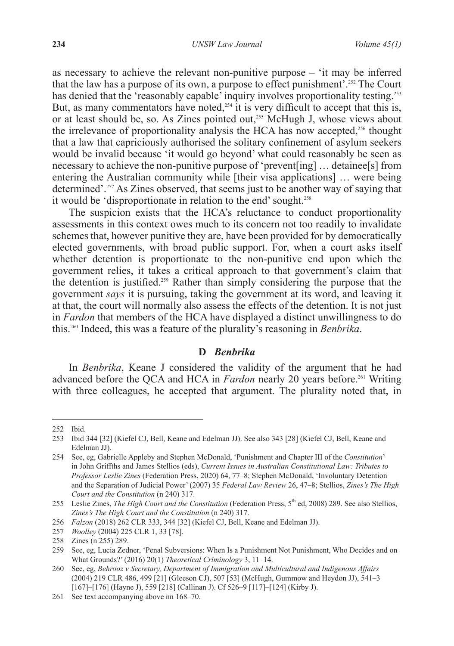as necessary to achieve the relevant non-punitive purpose – 'it may be inferred that the law has a purpose of its own, a purpose to effect punishment'.252 The Court has denied that the 'reasonably capable' inquiry involves proportionality testing.<sup>253</sup> But, as many commentators have noted,<sup> $254$ </sup> it is very difficult to accept that this is, or at least should be, so. As Zines pointed out,<sup>255</sup> McHugh J, whose views about the irrelevance of proportionality analysis the HCA has now accepted,<sup>256</sup> thought that a law that capriciously authorised the solitary confinement of asylum seekers would be invalid because 'it would go beyond' what could reasonably be seen as necessary to achieve the non-punitive purpose of 'prevent[ing] … detainee[s] from entering the Australian community while [their visa applications] … were being determined'.257 As Zines observed, that seems just to be another way of saying that it would be 'disproportionate in relation to the end' sought.<sup>258</sup>

The suspicion exists that the HCA's reluctance to conduct proportionality assessments in this context owes much to its concern not too readily to invalidate schemes that, however punitive they are, have been provided for by democratically elected governments, with broad public support. For, when a court asks itself whether detention is proportionate to the non-punitive end upon which the government relies, it takes a critical approach to that government's claim that the detention is justified.<sup>259</sup> Rather than simply considering the purpose that the government *says* it is pursuing, taking the government at its word, and leaving it at that, the court will normally also assess the effects of the detention. It is not just in *Fardon* that members of the HCA have displayed a distinct unwillingness to do this.260 Indeed, this was a feature of the plurality's reasoning in *Benbrika*.

### **D** *Benbrika*

In *Benbrika*, Keane J considered the validity of the argument that he had advanced before the QCA and HCA in *Fardon* nearly 20 years before.<sup>261</sup> Writing with three colleagues, he accepted that argument. The plurality noted that, in

<sup>252</sup> Ibid.

<sup>253</sup> Ibid 344 [32] (Kiefel CJ, Bell, Keane and Edelman JJ). See also 343 [28] (Kiefel CJ, Bell, Keane and Edelman JJ).

<sup>254</sup> See, eg, Gabrielle Appleby and Stephen McDonald, 'Punishment and Chapter III of the *Constitution*' in John Griffths and James Stellios (eds), *Current Issues in Australian Constitutional Law: Tributes to Professor Leslie Zines* (Federation Press, 2020) 64, 77–8; Stephen McDonald, 'Involuntary Detention and the Separation of Judicial Power' (2007) 35 *Federal Law Review* 26, 47–8; Stellios, *Zines's The High Court and the Constitution* (n 240) 317.

<sup>255</sup> Leslie Zines, *The High Court and the Constitution* (Federation Press, 5th ed, 2008) 289. See also Stellios, *Zines's The High Court and the Constitution* (n 240) 317.

<sup>256</sup> *Falzon* (2018) 262 CLR 333, 344 [32] (Kiefel CJ, Bell, Keane and Edelman JJ).

<sup>257</sup> *Woolley* (2004) 225 CLR 1, 33 [78].

<sup>258</sup> Zines (n 255) 289.

<sup>259</sup> See, eg, Lucia Zedner, 'Penal Subversions: When Is a Punishment Not Punishment, Who Decides and on What Grounds?' (2016) 20(1) *Theoretical Criminology* 3, 11–14.

<sup>260</sup> See, eg, *Behrooz v Secretary, Department of Immigration and Multicultural and Indigenous Affairs*  (2004) 219 CLR 486, 499 [21] (Gleeson CJ), 507 [53] (McHugh, Gummow and Heydon JJ), 541–3 [167]–[176] (Hayne J), 559 [218] (Callinan J). Cf 526–9 [117]–[124] (Kirby J).

<sup>261</sup> See text accompanying above nn 168–70.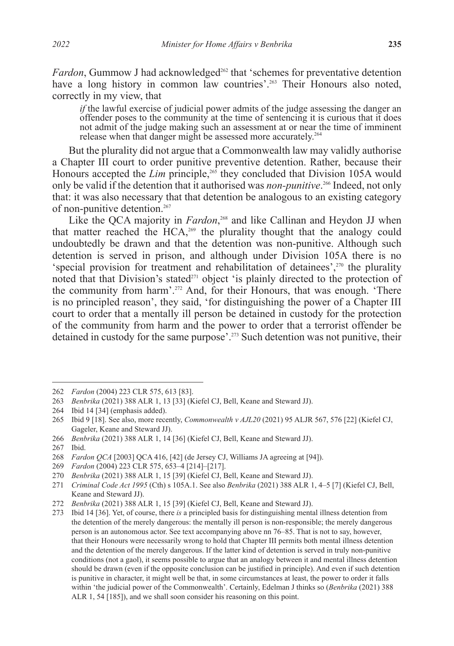Fardon, Gummow J had acknowledged<sup>262</sup> that 'schemes for preventative detention have a long history in common law countries'.<sup>263</sup> Their Honours also noted, correctly in my view, that

*if* the lawful exercise of judicial power admits of the judge assessing the danger an offender poses to the community at the time of sentencing it is curious that it does not admit of the judge making such an assessment at or near the time of imminent release when that danger might be assessed more accurately.<sup>264</sup>

But the plurality did not argue that a Commonwealth law may validly authorise a Chapter III court to order punitive preventive detention. Rather, because their Honours accepted the *Lim* principle,<sup>265</sup> they concluded that Division 105A would only be valid if the detention that it authorised was *non-punitive*. 266 Indeed, not only that: it was also necessary that that detention be analogous to an existing category of non-punitive detention.<sup>267</sup>

Like the QCA majority in *Fardon*<sup>268</sup> and like Callinan and Heydon JJ when that matter reached the HCA,<sup>269</sup> the plurality thought that the analogy could undoubtedly be drawn and that the detention was non-punitive. Although such detention is served in prison, and although under Division 105A there is no 'special provision for treatment and rehabilitation of detainees', $270$  the plurality noted that that Division's stated<sup>271</sup> object 'is plainly directed to the protection of the community from harm'.<sup>272</sup> And, for their Honours, that was enough. 'There is no principled reason', they said, 'for distinguishing the power of a Chapter III court to order that a mentally ill person be detained in custody for the protection of the community from harm and the power to order that a terrorist offender be detained in custody for the same purpose'.273 Such detention was not punitive, their

<sup>262</sup> *Fardon* (2004) 223 CLR 575, 613 [83].

<sup>263</sup> *Benbrika* (2021) 388 ALR 1, 13 [33] (Kiefel CJ, Bell, Keane and Steward JJ).

<sup>264</sup> Ibid 14 [34] (emphasis added).

<sup>265</sup> Ibid 9 [18]. See also, more recently, *Commonwealth v AJL20* (2021) 95 ALJR 567, 576 [22] (Kiefel CJ, Gageler, Keane and Steward JJ).

<sup>266</sup> *Benbrika* (2021) 388 ALR 1, 14 [36] (Kiefel CJ, Bell, Keane and Steward JJ).

<sup>267</sup> Ibid.

<sup>268</sup> *Fardon QCA* [2003] QCA 416, [42] (de Jersey CJ, Williams JA agreeing at [94]).

<sup>269</sup> *Fardon* (2004) 223 CLR 575, 653–4 [214]–[217].

<sup>270</sup> *Benbrika* (2021) 388 ALR 1, 15 [39] (Kiefel CJ, Bell, Keane and Steward JJ).

<sup>271</sup> *Criminal Code Act 1995* (Cth) s 105A.1. See also *Benbrika* (2021) 388 ALR 1, 4–5 [7] (Kiefel CJ, Bell, Keane and Steward JJ).

<sup>272</sup> *Benbrika* (2021) 388 ALR 1, 15 [39] (Kiefel CJ, Bell, Keane and Steward JJ).

<sup>273</sup> Ibid 14 [36]. Yet, of course, there *is* a principled basis for distinguishing mental illness detention from the detention of the merely dangerous: the mentally ill person is non-responsible; the merely dangerous person is an autonomous actor. See text accompanying above nn 76–85. That is not to say, however, that their Honours were necessarily wrong to hold that Chapter III permits both mental illness detention and the detention of the merely dangerous. If the latter kind of detention is served in truly non-punitive conditions (not a gaol), it seems possible to argue that an analogy between it and mental illness detention should be drawn (even if the opposite conclusion can be justified in principle). And even if such detention is punitive in character, it might well be that, in some circumstances at least, the power to order it falls within 'the judicial power of the Commonwealth'. Certainly, Edelman J thinks so (*Benbrika* (2021) 388 ALR 1, 54 [185]), and we shall soon consider his reasoning on this point.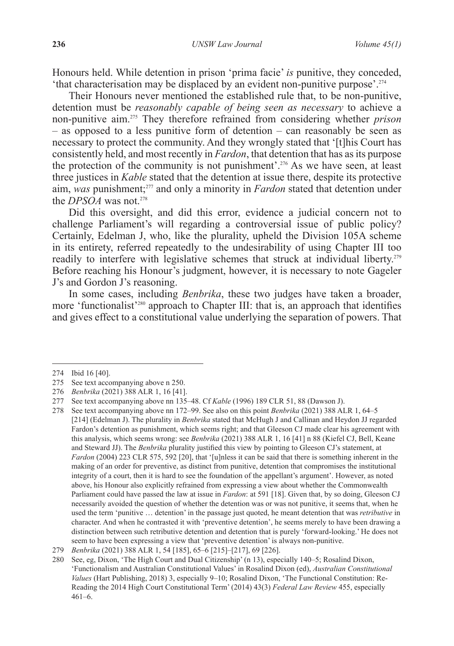Honours held. While detention in prison 'prima facie' *is* punitive, they conceded, 'that characterisation may be displaced by an evident non-punitive purpose'.<sup>274</sup>

Their Honours never mentioned the established rule that, to be non-punitive, detention must be *reasonably capable of being seen as necessary* to achieve a non-punitive aim.275 They therefore refrained from considering whether *prison –* as opposed to a less punitive form of detention *–* can reasonably be seen as necessary to protect the community. And they wrongly stated that '[t]his Court has consistently held, and most recently in *Fardon*, that detention that has as its purpose the protection of the community is not punishment'.<sup>276</sup> As we have seen, at least three justices in *Kable* stated that the detention at issue there, despite its protective aim, *was* punishment;277 and only a minority in *Fardon* stated that detention under the *DPSOA* was not.<sup>278</sup>

Did this oversight, and did this error, evidence a judicial concern not to challenge Parliament's will regarding a controversial issue of public policy? Certainly, Edelman J, who, like the plurality, upheld the Division 105A scheme in its entirety, referred repeatedly to the undesirability of using Chapter III too readily to interfere with legislative schemes that struck at individual liberty.<sup>279</sup> Before reaching his Honour's judgment, however, it is necessary to note Gageler J's and Gordon J's reasoning.

In some cases, including *Benbrika*, these two judges have taken a broader, more 'functionalist'280 approach to Chapter III: that is, an approach that identifies and gives effect to a constitutional value underlying the separation of powers. That

<sup>274</sup> Ibid 16 [40].

<sup>275</sup> See text accompanying above n 250.

<sup>276</sup> *Benbrika* (2021) 388 ALR 1, 16 [41].

<sup>277</sup> See text accompanying above nn 135–48. Cf *Kable* (1996) 189 CLR 51, 88 (Dawson J).

<sup>278</sup> See text accompanying above nn 172–99. See also on this point *Benbrika* (2021) 388 ALR 1, 64–5 [214] (Edelman J). The plurality in *Benbrika* stated that McHugh J and Callinan and Heydon JJ regarded Fardon's detention as punishment, which seems right; and that Gleeson CJ made clear his agreement with this analysis, which seems wrong: see *Benbrika* (2021) 388 ALR 1, 16 [41] n 88 (Kiefel CJ, Bell, Keane and Steward JJ). The *Benbrika* plurality justified this view by pointing to Gleeson CJ's statement, at *Fardon* (2004) 223 CLR 575, 592 [20], that '[u]nless it can be said that there is something inherent in the making of an order for preventive, as distinct from punitive, detention that compromises the institutional integrity of a court, then it is hard to see the foundation of the appellant's argument'. However, as noted above, his Honour also explicitly refrained from expressing a view about whether the Commonwealth Parliament could have passed the law at issue in *Fardon*: at 591 [18]. Given that, by so doing, Gleeson CJ necessarily avoided the question of whether the detention was or was not punitive, it seems that, when he used the term 'punitive … detention' in the passage just quoted, he meant detention that was *retributive* in character. And when he contrasted it with 'preventive detention', he seems merely to have been drawing a distinction between such retributive detention and detention that is purely 'forward-looking.' He does not seem to have been expressing a view that 'preventive detention' is always non-punitive.

<sup>279</sup> *Benbrika* (2021) 388 ALR 1, 54 [185], 65–6 [215]–[217], 69 [226].

<sup>280</sup> See, eg, Dixon, 'The High Court and Dual Citizenship' (n 13), especially 140–5; Rosalind Dixon, 'Functionalism and Australian Constitutional Values' in Rosalind Dixon (ed), *Australian Constitutional Values* (Hart Publishing, 2018) 3, especially 9–10; Rosalind Dixon, 'The Functional Constitution: Re-Reading the 2014 High Court Constitutional Term' (2014) 43(3) *Federal Law Review* 455, especially 461–6.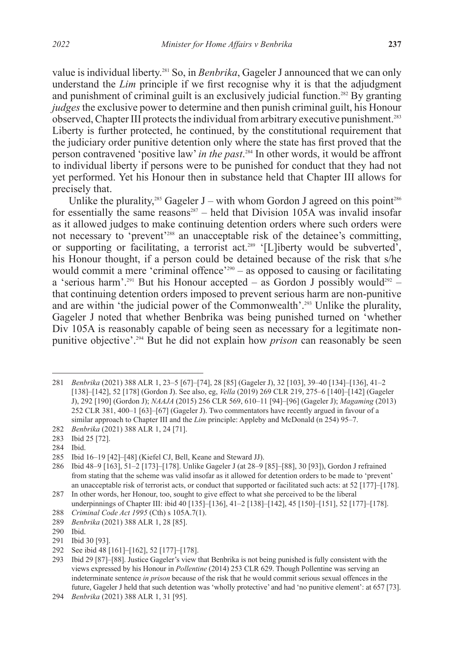value is individual liberty.281 So, in *Benbrika*, Gageler J announced that we can only understand the *Lim* principle if we first recognise why it is that the adjudgment and punishment of criminal guilt is an exclusively judicial function.<sup>282</sup> By granting *judges* the exclusive power to determine and then punish criminal guilt, his Honour observed, Chapter III protects the individual from arbitrary executive punishment.283 Liberty is further protected, he continued, by the constitutional requirement that the judiciary order punitive detention only where the state has first proved that the person contravened 'positive law' *in the past*. 284 In other words, it would be affront to individual liberty if persons were to be punished for conduct that they had not yet performed. Yet his Honour then in substance held that Chapter III allows for precisely that.

Unlike the plurality,<sup>285</sup> Gageler J – with whom Gordon J agreed on this point<sup>286</sup> for essentially the same reasons<sup>287</sup> – held that Division  $105\overrightarrow{\text{A}}$  was invalid insofar as it allowed judges to make continuing detention orders where such orders were not necessary to 'prevent'<sup>288</sup> an unacceptable risk of the detainee's committing, or supporting or facilitating, a terrorist act.<sup>289</sup> '[L]iberty would be subverted', his Honour thought, if a person could be detained because of the risk that s/he would commit a mere 'criminal offence'<sup>290</sup> – as opposed to causing or facilitating a 'serious harm'.<sup>291</sup> But his Honour accepted – as Gordon J possibly would<sup>292</sup> – that continuing detention orders imposed to prevent serious harm are non-punitive and are within 'the judicial power of the Commonwealth'.<sup>293</sup> Unlike the plurality, Gageler J noted that whether Benbrika was being punished turned on 'whether Div 105A is reasonably capable of being seen as necessary for a legitimate nonpunitive objective'.294 But he did not explain how *prison* can reasonably be seen

<sup>281</sup> *Benbrika* (2021) 388 ALR 1, 23–5 [67]–[74], 28 [85] (Gageler J), 32 [103], 39–40 [134]–[136], 41–2 [138]–[142], 52 [178] (Gordon J). See also, eg, *Vella* (2019) 269 CLR 219, 275–6 [140]–[142] (Gageler J), 292 [190] (Gordon J); *NAAJA* (2015) 256 CLR 569, 610–11 [94]–[96] (Gageler J); *Magaming* (2013) 252 CLR 381, 400–1 [63]–[67] (Gageler J). Two commentators have recently argued in favour of a similar approach to Chapter III and the *Lim* principle: Appleby and McDonald (n 254) 95–7. 282 *Benbrika* (2021) 388 ALR 1, 24 [71].

<sup>283</sup> Ibid 25 [72].

<sup>284</sup> Ibid.

<sup>285</sup> Ibid 16–19 [42]–[48] (Kiefel CJ, Bell, Keane and Steward JJ).

<sup>286</sup> Ibid 48–9 [163], 51–2 [173]–[178]. Unlike Gageler J (at 28–9 [85]–[88], 30 [93]), Gordon J refrained from stating that the scheme was valid insofar as it allowed for detention orders to be made to 'prevent' an unacceptable risk of terrorist acts, or conduct that supported or facilitated such acts: at 52 [177]–[178].

<sup>287</sup> In other words, her Honour, too, sought to give effect to what she perceived to be the liberal underpinnings of Chapter III: ibid 40 [135]–[136], 41–2 [138]–[142], 45 [150]–[151], 52 [177]–[178]. 288 *Criminal Code Act 1995* (Cth) s 105A.7(1).

<sup>289</sup> *Benbrika* (2021) 388 ALR 1, 28 [85].

<sup>290</sup> Ibid.

<sup>291</sup> Ibid 30 [93].

<sup>292</sup> See ibid 48 [161]–[162], 52 [177]–[178].<br>293 Ibid 29 [87]–[88]. Justice Gageler's view t

<sup>293</sup> Ibid 29 [87]–[88]. Justice Gageler's view that Benbrika is not being punished is fully consistent with the views expressed by his Honour in *Pollentine* (2014) 253 CLR 629. Though Pollentine was serving an indeterminate sentence *in prison* because of the risk that he would commit serious sexual offences in the future, Gageler J held that such detention was 'wholly protective' and had 'no punitive element': at 657 [73].

<sup>294</sup> *Benbrika* (2021) 388 ALR 1, 31 [95].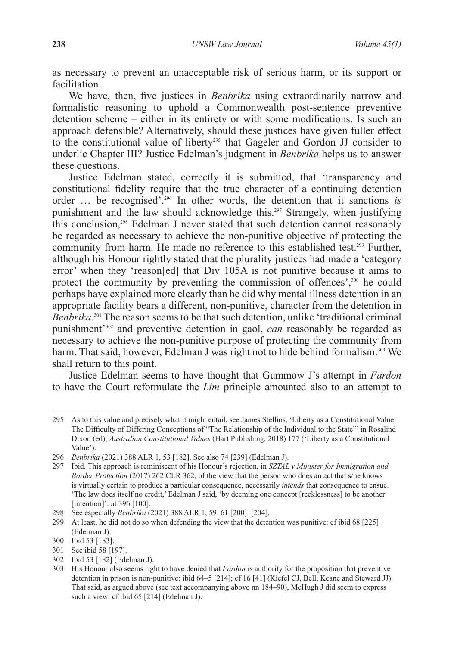as necessary to prevent an unacceptable risk of serious harm, or its support or facilitation.

We have, then, five justices in *Benbrika* using extraordinarily narrow and formalistic reasoning to uphold a Commonwealth post-sentence preventive detention scheme – either in its entirety or with some modifications. Is such an approach defensible? Alternatively, should these justices have given fuller effect to the constitutional value of liberty<sup>295</sup> that Gageler and Gordon JJ consider to underlie Chapter III? Justice Edelman's judgment in *Benbrika* helps us to answer these questions.

Justice Edelman stated, correctly it is submitted, that 'transparency and constitutional fidelity require that the true character of a continuing detention order … be recognised'.296 In other words, the detention that it sanctions *is*  punishment and the law should acknowledge this.297 Strangely, when justifying this conclusion,<sup>298</sup> Edelman J never stated that such detention cannot reasonably be regarded as necessary to achieve the non-punitive objective of protecting the community from harm. He made no reference to this established test.299 Further, although his Honour rightly stated that the plurality justices had made a 'category error' when they 'reason[ed] that Div 105A is not punitive because it aims to protect the community by preventing the commission of offences',<sup>300</sup> he could perhaps have explained more clearly than he did why mental illness detention in an appropriate facility bears a different, non-punitive, character from the detention in *Benbrika*. 301 The reason seems to be that such detention, unlike 'traditional criminal punishment'302 and preventive detention in gaol, *can* reasonably be regarded as necessary to achieve the non-punitive purpose of protecting the community from harm. That said, however, Edelman J was right not to hide behind formalism.<sup>303</sup> We shall return to this point.

Justice Edelman seems to have thought that Gummow J's attempt in *Fardon*  to have the Court reformulate the *Lim* principle amounted also to an attempt to

<sup>295</sup> As to this value and precisely what it might entail, see James Stellios, 'Liberty as a Constitutional Value: The Difficulty of Differing Conceptions of "The Relationship of the Individual to the State"' in Rosalind Dixon (ed), *Australian Constitutional Values* (Hart Publishing, 2018) 177 ('Liberty as a Constitutional Value').

<sup>296</sup> *Benbrika* (2021) 388 ALR 1, 53 [182]. See also 74 [239] (Edelman J).

<sup>297</sup> Ibid. This approach is reminiscent of his Honour's rejection, in *SZTAL v Minister for Immigration and Border Protection* (2017) 262 CLR 362, of the view that the person who does an act that s/he knows is virtually certain to produce a particular consequence, necessarily *intends* that consequence to ensue. 'The law does itself no credit,' Edelman J said, 'by deeming one concept [recklessness] to be another [intention]': at 396 [100].

<sup>298</sup> See especially *Benbrika* (2021) 388 ALR 1, 59–61 [200]–[204].

<sup>299</sup> At least, he did not do so when defending the view that the detention was punitive: cf ibid 68 [225] (Edelman J).

<sup>300</sup> Ibid 53 [183].

<sup>301</sup> See ibid 58 [197].

<sup>302</sup> Ibid 53 [182] (Edelman J).

<sup>303</sup> His Honour also seems right to have denied that *Fardon* is authority for the proposition that preventive detention in prison is non-punitive: ibid 64–5 [214]; cf 16 [41] (Kiefel CJ, Bell, Keane and Steward JJ). That said, as argued above (see text accompanying above nn 184–90), McHugh J did seem to express such a view: cf ibid 65 [214] (Edelman J).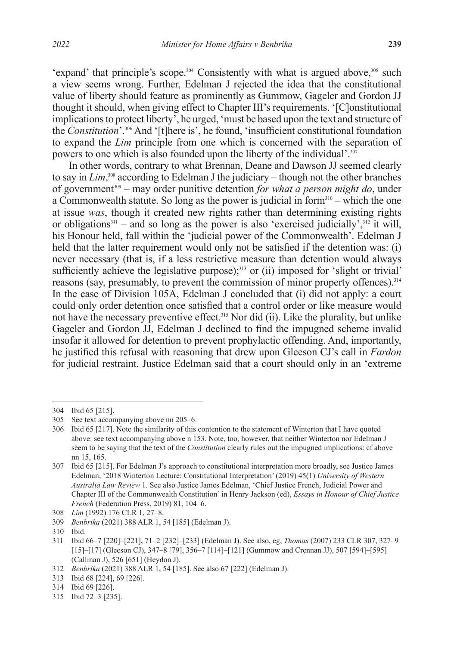'expand' that principle's scope.<sup>304</sup> Consistently with what is argued above,<sup>305</sup> such a view seems wrong. Further, Edelman J rejected the idea that the constitutional value of liberty should feature as prominently as Gummow, Gageler and Gordon JJ thought it should, when giving effect to Chapter III's requirements. '[C]onstitutional implications to protect liberty', he urged, 'must be based upon the text and structure of the *Constitution*'.306 And '[t]here is', he found, 'insufficient constitutional foundation to expand the *Lim* principle from one which is concerned with the separation of powers to one which is also founded upon the liberty of the individual'.<sup>307</sup>

In other words, contrary to what Brennan, Deane and Dawson JJ seemed clearly to say in *Lim*, 308 according to Edelman J the judiciary *–* though not the other branches of government309 *–* may order punitive detention *for what a person might do*, under a Commonwealth statute. So long as the power is judicial in form310 *–* which the one at issue *was*, though it created new rights rather than determining existing rights or obligations<sup>311</sup> – and so long as the power is also 'exercised judicially',<sup>312</sup> it will, his Honour held, fall within the 'judicial power of the Commonwealth'. Edelman J held that the latter requirement would only not be satisfied if the detention was: (i) never necessary (that is, if a less restrictive measure than detention would always sufficiently achieve the legislative purpose);<sup>313</sup> or (ii) imposed for 'slight or trivial' reasons (say, presumably, to prevent the commission of minor property offences).<sup>314</sup> In the case of Division 105A, Edelman J concluded that (i) did not apply: a court could only order detention once satisfied that a control order or like measure would not have the necessary preventive effect.<sup>315</sup> Nor did (ii). Like the plurality, but unlike Gageler and Gordon JJ, Edelman J declined to find the impugned scheme invalid insofar it allowed for detention to prevent prophylactic offending. And, importantly, he justified this refusal with reasoning that drew upon Gleeson CJ's call in *Fardon*  for judicial restraint. Justice Edelman said that a court should only in an 'extreme

<sup>304</sup> Ibid 65 [215].

<sup>305</sup> See text accompanying above nn 205–6.

<sup>306</sup> Ibid 65 [217]. Note the similarity of this contention to the statement of Winterton that I have quoted above: see text accompanying above n 153. Note, too, however, that neither Winterton nor Edelman J seem to be saying that the text of the *Constitution* clearly rules out the impugned implications: cf above nn 15, 165.

<sup>307</sup> Ibid 65 [215]. For Edelman J's approach to constitutional interpretation more broadly, see Justice James Edelman, '2018 Winterton Lecture: Constitutional Interpretation' (2019) 45(1) *University of Western Australia Law Review* 1. See also Justice James Edelman, 'Chief Justice French, Judicial Power and Chapter III of the Commonwealth Constitution' in Henry Jackson (ed), *Essays in Honour of Chief Justice French* (Federation Press, 2019) 81, 104–6.

<sup>308</sup> *Lim* (1992) 176 CLR 1, 27–8.

<sup>309</sup> *Benbrika* (2021) 388 ALR 1, 54 [185] (Edelman J).

<sup>310</sup> Ibid.

<sup>311</sup> Ibid 66–7 [220]–[221], 71–2 [232]–[233] (Edelman J). See also, eg, *Thomas* (2007) 233 CLR 307, 327–9 [15]–[17] (Gleeson CJ), 347–8 [79], 356–7 [114]–[121] (Gummow and Crennan JJ), 507 [594]–[595] (Callinan J), 526 [651] (Heydon J).

<sup>312</sup> *Benbrika* (2021) 388 ALR 1, 54 [185]. See also 67 [222] (Edelman J).

<sup>313</sup> Ibid 68 [224], 69 [226].

<sup>314</sup> Ibid 69 [226].

<sup>315</sup> Ibid 72–3 [235].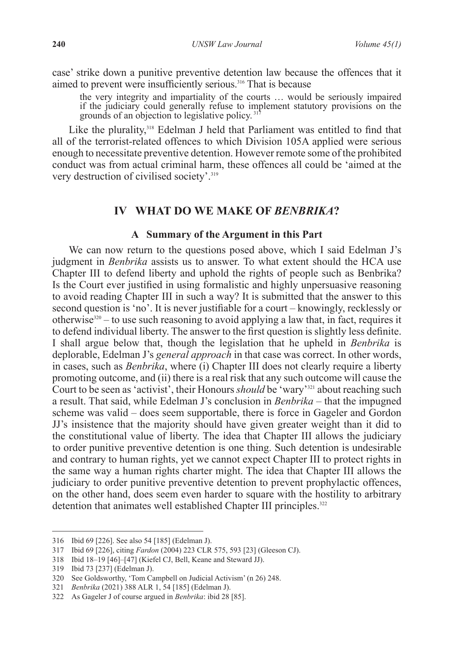case' strike down a punitive preventive detention law because the offences that it aimed to prevent were insufficiently serious.316 That is because

the very integrity and impartiality of the courts … would be seriously impaired if the judiciary could generally refuse to implement statutory provisions on the grounds of an objection to legislative policy. 317

Like the plurality,<sup>318</sup> Edelman J held that Parliament was entitled to find that all of the terrorist-related offences to which Division 105A applied were serious enough to necessitate preventive detention. However remote some of the prohibited conduct was from actual criminal harm, these offences all could be 'aimed at the very destruction of civilised society'.<sup>319</sup>

## **IV WHAT DO WE MAKE OF** *BENBRIKA***?**

#### **A Summary of the Argument in this Part**

We can now return to the questions posed above, which I said Edelman J's judgment in *Benbrika* assists us to answer. To what extent should the HCA use Chapter III to defend liberty and uphold the rights of people such as Benbrika? Is the Court ever justified in using formalistic and highly unpersuasive reasoning to avoid reading Chapter III in such a way? It is submitted that the answer to this second question is 'no'. It is never justifiable for a court *–* knowingly, recklessly or otherwise320 *–* to use such reasoning to avoid applying a law that, in fact, requires it to defend individual liberty. The answer to the first question is slightly less definite. I shall argue below that, though the legislation that he upheld in *Benbrika* is deplorable, Edelman J's *general approach* in that case was correct. In other words, in cases, such as *Benbrika*, where (i) Chapter III does not clearly require a liberty promoting outcome, and (ii) there is a real risk that any such outcome will cause the Court to be seen as 'activist', their Honours *should* be 'wary'<sup>321</sup> about reaching such a result. That said, while Edelman J's conclusion in *Benbrika –* that the impugned scheme was valid *–* does seem supportable, there is force in Gageler and Gordon JJ's insistence that the majority should have given greater weight than it did to the constitutional value of liberty. The idea that Chapter III allows the judiciary to order punitive preventive detention is one thing. Such detention is undesirable and contrary to human rights, yet we cannot expect Chapter III to protect rights in the same way a human rights charter might. The idea that Chapter III allows the judiciary to order punitive preventive detention to prevent prophylactic offences, on the other hand, does seem even harder to square with the hostility to arbitrary detention that animates well established Chapter III principles.<sup>322</sup>

<sup>316</sup> Ibid 69 [226]. See also 54 [185] (Edelman J).

<sup>317</sup> Ibid 69 [226], citing *Fardon* (2004) 223 CLR 575, 593 [23] (Gleeson CJ).

<sup>318</sup> Ibid 18–19 [46]–[47] (Kiefel CJ, Bell, Keane and Steward JJ).

<sup>319</sup> Ibid 73 [237] (Edelman J).

<sup>320</sup> See Goldsworthy, 'Tom Campbell on Judicial Activism' (n 26) 248.

<sup>321</sup> *Benbrika* (2021) 388 ALR 1, 54 [185] (Edelman J).

<sup>322</sup> As Gageler J of course argued in *Benbrika*: ibid 28 [85].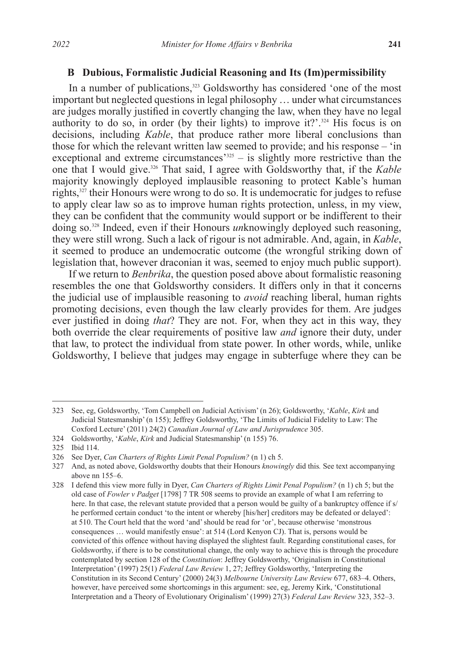### **B Dubious, Formalistic Judicial Reasoning and Its (Im)permissibility**

In a number of publications,<sup>323</sup> Goldsworthy has considered 'one of the most important but neglected questions in legal philosophy … under what circumstances are judges morally justified in covertly changing the law, when they have no legal authority to do so, in order (by their lights) to improve it?'.<sup>324</sup> His focus is on decisions, including *Kable*, that produce rather more liberal conclusions than those for which the relevant written law seemed to provide; and his response *–* 'in exceptional and extreme circumstances<sup>'325</sup> – is slightly more restrictive than the one that I would give.326 That said, I agree with Goldsworthy that, if the *Kable*  majority knowingly deployed implausible reasoning to protect Kable's human rights,327 their Honours were wrong to do so. It is undemocratic for judges to refuse to apply clear law so as to improve human rights protection, unless, in my view, they can be confident that the community would support or be indifferent to their doing so.328 Indeed, even if their Honours *un*knowingly deployed such reasoning, they were still wrong. Such a lack of rigour is not admirable. And, again, in *Kable*, it seemed to produce an undemocratic outcome (the wrongful striking down of legislation that, however draconian it was, seemed to enjoy much public support).

If we return to *Benbrika*, the question posed above about formalistic reasoning resembles the one that Goldsworthy considers. It differs only in that it concerns the judicial use of implausible reasoning to *avoid* reaching liberal, human rights promoting decisions, even though the law clearly provides for them. Are judges ever justified in doing *that*? They are not. For, when they act in this way, they both override the clear requirements of positive law *and* ignore their duty, under that law, to protect the individual from state power. In other words, while, unlike Goldsworthy, I believe that judges may engage in subterfuge where they can be

<sup>323</sup> See, eg, Goldsworthy, 'Tom Campbell on Judicial Activism' (n 26); Goldsworthy, '*Kable*, *Kirk* and Judicial Statesmanship' (n 155); Jeffrey Goldsworthy, 'The Limits of Judicial Fidelity to Law: The Coxford Lecture' (2011) 24(2) *Canadian Journal of Law and Jurisprudence* 305.

<sup>324</sup> Goldsworthy, '*Kable*, *Kirk* and Judicial Statesmanship' (n 155) 76.

<sup>325</sup> Ibid 114.

<sup>326</sup> See Dyer, *Can Charters of Rights Limit Penal Populism?* (n 1) ch 5.

<sup>327</sup> And, as noted above, Goldsworthy doubts that their Honours *knowingly* did this*.* See text accompanying above nn 155–6.

<sup>328</sup> I defend this view more fully in Dyer, *Can Charters of Rights Limit Penal Populism?* (n 1) ch 5; but the old case of *Fowler v Padget* [1798] 7 TR 508 seems to provide an example of what I am referring to here. In that case, the relevant statute provided that a person would be guilty of a bankruptcy offence if s/ he performed certain conduct 'to the intent or whereby [his/her] creditors may be defeated or delayed': at 510. The Court held that the word 'and' should be read for 'or', because otherwise 'monstrous consequences … would manifestly ensue': at 514 (Lord Kenyon CJ). That is, persons would be convicted of this offence without having displayed the slightest fault. Regarding constitutional cases, for Goldsworthy, if there is to be constitutional change, the only way to achieve this is through the procedure contemplated by section 128 of the *Constitution*: Jeffrey Goldsworthy, 'Originalism in Constitutional Interpretation' (1997) 25(1) *Federal Law Review* 1, 27; Jeffrey Goldsworthy, 'Interpreting the Constitution in its Second Century' (2000) 24(3) *Melbourne University Law Review* 677, 683–4. Others, however, have perceived some shortcomings in this argument: see, eg, Jeremy Kirk, 'Constitutional Interpretation and a Theory of Evolutionary Originalism' (1999) 27(3) *Federal Law Review* 323, 352–3.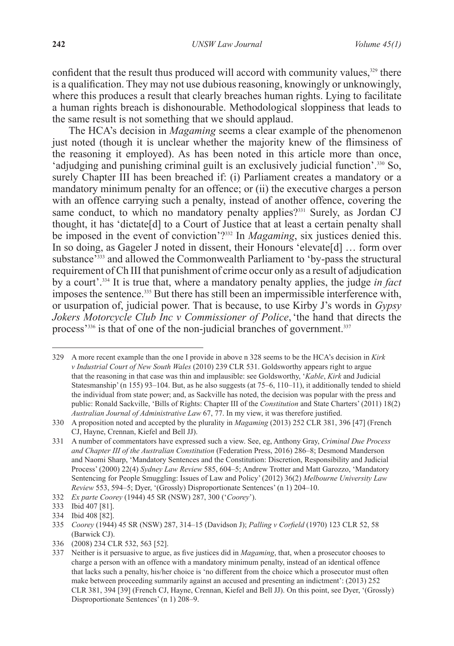confident that the result thus produced will accord with community values.<sup>329</sup> there is a qualification. They may not use dubious reasoning, knowingly or unknowingly, where this produces a result that clearly breaches human rights. Lying to facilitate a human rights breach is dishonourable. Methodological sloppiness that leads to the same result is not something that we should applaud.

The HCA's decision in *Magaming* seems a clear example of the phenomenon just noted (though it is unclear whether the majority knew of the flimsiness of the reasoning it employed). As has been noted in this article more than once, 'adjudging and punishing criminal guilt is an exclusively judicial function'.330 So, surely Chapter III has been breached if: (i) Parliament creates a mandatory or a mandatory minimum penalty for an offence; or (ii) the executive charges a person with an offence carrying such a penalty, instead of another offence, covering the same conduct, to which no mandatory penalty applies?<sup>331</sup> Surely, as Jordan CJ thought, it has 'dictate[d] to a Court of Justice that at least a certain penalty shall be imposed in the event of conviction'?332 In *Magaming*, six justices denied this. In so doing, as Gageler J noted in dissent, their Honours 'elevate[d] … form over substance<sup>7333</sup> and allowed the Commonwealth Parliament to 'by-pass the structural requirement of Ch III that punishment of crime occur only as a result of adjudication by a court'.334 It is true that, where a mandatory penalty applies, the judge *in fact*  imposes the sentence.<sup>335</sup> But there has still been an impermissible interference with, or usurpation of, judicial power. That is because, to use Kirby J's words in *Gypsy Jokers Motorcycle Club Inc v Commissioner of Police*,'the hand that directs the process<sup>'336</sup> is that of one of the non-judicial branches of government.<sup>337</sup>

<sup>329</sup> A more recent example than the one I provide in above n 328 seems to be the HCA's decision in *Kirk v Industrial Court of New South Wales* (2010) 239 CLR 531. Goldsworthy appears right to argue that the reasoning in that case was thin and implausible: see Goldsworthy, '*Kable*, *Kirk* and Judicial Statesmanship' (n 155) 93–104. But, as he also suggests (at 75–6, 110–11), it additionally tended to shield the individual from state power; and, as Sackville has noted, the decision was popular with the press and public: Ronald Sackville, 'Bills of Rights: Chapter III of the *Constitution* and State Charters' (2011) 18(2) *Australian Journal of Administrative Law* 67, 77. In my view, it was therefore justified.

<sup>330</sup> A proposition noted and accepted by the plurality in *Magaming* (2013) 252 CLR 381, 396 [47] (French CJ, Hayne, Crennan, Kiefel and Bell JJ).

<sup>331</sup> A number of commentators have expressed such a view. See, eg, Anthony Gray, *Criminal Due Process and Chapter III of the Australian Constitution* (Federation Press, 2016) 286–8; Desmond Manderson and Naomi Sharp, 'Mandatory Sentences and the Constitution: Discretion, Responsibility and Judicial Process' (2000) 22(4) *Sydney Law Review* 585, 604–5; Andrew Trotter and Matt Garozzo, 'Mandatory Sentencing for People Smuggling: Issues of Law and Policy' (2012) 36(2) *Melbourne University Law Review* 553, 594–5; Dyer, '(Grossly) Disproportionate Sentences' (n 1) 204–10.

<sup>332</sup> *Ex parte Coorey* (1944) 45 SR (NSW) 287, 300 ('*Coorey*').

<sup>333</sup> Ibid 407 [81].

<sup>334</sup> Ibid 408 [82].

<sup>335</sup> *Coorey* (1944) 45 SR (NSW) 287, 314–15 (Davidson J); *Palling v Corfield* (1970) 123 CLR 52, 58 (Barwick CJ).

<sup>336</sup> (2008) 234 CLR 532, 563 [52].

<sup>337</sup> Neither is it persuasive to argue, as five justices did in *Magaming*, that, when a prosecutor chooses to charge a person with an offence with a mandatory minimum penalty, instead of an identical offence that lacks such a penalty, his/her choice is 'no different from the choice which a prosecutor must often make between proceeding summarily against an accused and presenting an indictment': (2013) 252 CLR 381, 394 [39] (French CJ, Hayne, Crennan, Kiefel and Bell JJ). On this point, see Dyer, '(Grossly) Disproportionate Sentences' (n 1) 208–9.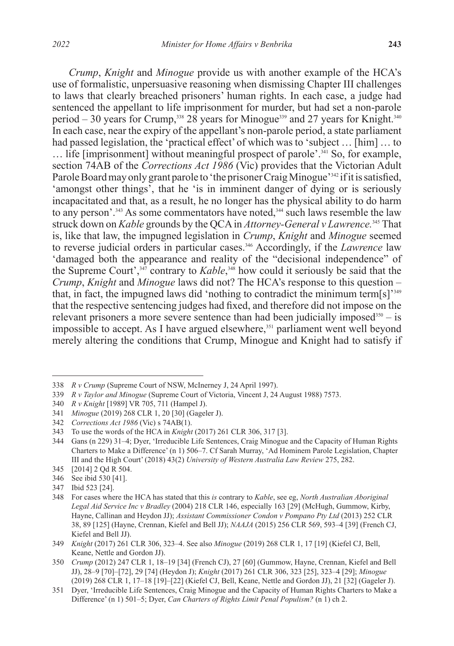*Crump*, *Knight* and *Minogue* provide us with another example of the HCA's use of formalistic, unpersuasive reasoning when dismissing Chapter III challenges to laws that clearly breached prisoners' human rights. In each case, a judge had sentenced the appellant to life imprisonment for murder, but had set a non-parole period – 30 years for Crump,<sup>338</sup> 28 years for Minogue<sup>339</sup> and 27 years for Knight.<sup>340</sup> In each case, near the expiry of the appellant's non-parole period, a state parliament had passed legislation, the 'practical effect' of which was to 'subject ... [him] ... to ... life [imprisonment] without meaningful prospect of parole'.<sup>341</sup> So, for example, section 74AB of the *Corrections Act 1986* (Vic) provides that the Victorian Adult Parole Board may only grant parole to 'the prisoner Craig Minogue'<sup>342</sup> if it is satisfied, 'amongst other things', that he 'is in imminent danger of dying or is seriously incapacitated and that, as a result, he no longer has the physical ability to do harm to any person'.<sup>343</sup> As some commentators have noted,<sup>344</sup> such laws resemble the law struck down on *Kable* grounds by the QCA in *Attorney-General v Lawrence.*<sup>345</sup> That is, like that law, the impugned legislation in *Crump*, *Knight* and *Minogue* seemed to reverse judicial orders in particular cases.346 Accordingly, if the *Lawrence* law 'damaged both the appearance and reality of the "decisional independence" of the Supreme Court',<sup>347</sup> contrary to *Kable*,<sup>348</sup> how could it seriously be said that the *Crump*, *Knight* and *Minogue* laws did not? The HCA's response to this question *–*  that, in fact, the impugned laws did 'nothing to contradict the minimum term[s]'349 that the respective sentencing judges had fixed, and therefore did not impose on the relevant prisoners a more severe sentence than had been judicially imposed<sup>350</sup> – is impossible to accept. As I have argued elsewhere,<sup>351</sup> parliament went well beyond merely altering the conditions that Crump, Minogue and Knight had to satisfy if

<sup>338</sup> *R v Crump* (Supreme Court of NSW, McInerney J, 24 April 1997).

<sup>339</sup> *R v Taylor and Minogue* (Supreme Court of Victoria, Vincent J, 24 August 1988) 7573.

<sup>340</sup> *R v Knight* [1989] VR 705, 711 (Hampel J).

<sup>341</sup> *Minogue* (2019) 268 CLR 1, 20 [30] (Gageler J).

<sup>342</sup> *Corrections Act 1986* (Vic) s 74AB(1).

<sup>343</sup> To use the words of the HCA in *Knight* (2017) 261 CLR 306, 317 [3].

<sup>344</sup> Gans (n 229) 31–4; Dyer, 'Irreducible Life Sentences, Craig Minogue and the Capacity of Human Rights Charters to Make a Difference' (n 1) 506–7. Cf Sarah Murray, 'Ad Hominem Parole Legislation, Chapter III and the High Court' (2018) 43(2) *University of Western Australia Law Review* 275, 282.

<sup>345</sup> [2014] 2 Qd R 504.

<sup>346</sup> See ibid 530 [41].

<sup>347</sup> Ibid 523 [24].

<sup>348</sup> For cases where the HCA has stated that this *is* contrary to *Kable*, see eg, *North Australian Aboriginal Legal Aid Service Inc v Bradley* (2004) 218 CLR 146, especially 163 [29] (McHugh, Gummow, Kirby, Hayne, Callinan and Heydon JJ); *Assistant Commissioner Condon v Pompano Pty Ltd* (2013) 252 CLR 38, 89 [125] (Hayne, Crennan, Kiefel and Bell JJ); *NAAJA* (2015) 256 CLR 569, 593–4 [39] (French CJ, Kiefel and Bell JJ).

<sup>349</sup> *Knight* (2017) 261 CLR 306, 323–4. See also *Minogue* (2019) 268 CLR 1, 17 [19] (Kiefel CJ, Bell, Keane, Nettle and Gordon JJ).

<sup>350</sup> *Crump* (2012) 247 CLR 1, 18–19 [34] (French CJ), 27 [60] (Gummow, Hayne, Crennan, Kiefel and Bell JJ), 28–9 [70]–[72], 29 [74] (Heydon J); *Knight* (2017) 261 CLR 306, 323 [25], 323–4 [29]; *Minogue*  (2019) 268 CLR 1, 17–18 [19]–[22] (Kiefel CJ, Bell, Keane, Nettle and Gordon JJ), 21 [32] (Gageler J).

<sup>351</sup> Dyer, 'Irreducible Life Sentences, Craig Minogue and the Capacity of Human Rights Charters to Make a Difference' (n 1) 501–5; Dyer, *Can Charters of Rights Limit Penal Populism?* (n 1) ch 2.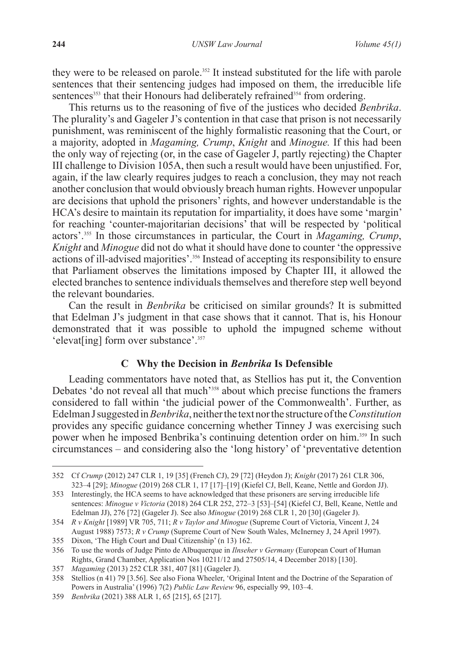they were to be released on parole.<sup>352</sup> It instead substituted for the life with parole sentences that their sentencing judges had imposed on them, the irreducible life sentences<sup>353</sup> that their Honours had deliberately refrained<sup>354</sup> from ordering.

This returns us to the reasoning of five of the justices who decided *Benbrika*. The plurality's and Gageler J's contention in that case that prison is not necessarily punishment, was reminiscent of the highly formalistic reasoning that the Court, or a majority, adopted in *Magaming, Crump*, *Knight* and *Minogue.* If this had been the only way of rejecting (or, in the case of Gageler J, partly rejecting) the Chapter III challenge to Division 105A, then such a result would have been unjustified. For, again, if the law clearly requires judges to reach a conclusion, they may not reach another conclusion that would obviously breach human rights. However unpopular are decisions that uphold the prisoners' rights, and however understandable is the HCA's desire to maintain its reputation for impartiality, it does have some 'margin' for reaching 'counter-majoritarian decisions' that will be respected by 'political actors'.355 In those circumstances in particular, the Court in *Magaming, Crump*, *Knight* and *Minogue* did not do what it should have done to counter 'the oppressive actions of ill-advised majorities'.356 Instead of accepting its responsibility to ensure that Parliament observes the limitations imposed by Chapter III, it allowed the elected branches to sentence individuals themselves and therefore step well beyond the relevant boundaries.

Can the result in *Benbrika* be criticised on similar grounds? It is submitted that Edelman J's judgment in that case shows that it cannot. That is, his Honour demonstrated that it was possible to uphold the impugned scheme without 'elevat[ing] form over substance'.<sup>357</sup>

### **C Why the Decision in** *Benbrika* **Is Defensible**

Leading commentators have noted that, as Stellios has put it, the Convention Debates 'do not reveal all that much<sup>'358</sup> about which precise functions the framers considered to fall within 'the judicial power of the Commonwealth'. Further, as Edelman J suggested in *Benbrika*, neither the text nor the structure of the *Constitution* provides any specific guidance concerning whether Tinney J was exercising such power when he imposed Benbrika's continuing detention order on him.<sup>359</sup> In such circumstances *–* and considering also the 'long history' of 'preventative detention

<sup>352</sup> Cf *Crump* (2012) 247 CLR 1, 19 [35] (French CJ), 29 [72] (Heydon J); *Knight* (2017) 261 CLR 306, 323–4 [29]; *Minogue* (2019) 268 CLR 1, 17 [17]–[19] (Kiefel CJ, Bell, Keane, Nettle and Gordon JJ).

<sup>353</sup> Interestingly, the HCA seems to have acknowledged that these prisoners are serving irreducible life sentences: *Minogue v Victoria* (2018) 264 CLR 252, 272–3 [53]–[54] (Kiefel CJ, Bell, Keane, Nettle and Edelman JJ), 276 [72] (Gageler J). See also *Minogue* (2019) 268 CLR 1, 20 [30] (Gageler J).

<sup>354</sup> *R v Knight* [1989] VR 705, 711; *R v Taylor and Minogue* (Supreme Court of Victoria, Vincent J, 24 August 1988) 7573; *R v Crump* (Supreme Court of New South Wales, McInerney J, 24 April 1997).

<sup>355</sup> Dixon, 'The High Court and Dual Citizenship' (n 13) 162.

<sup>356</sup> To use the words of Judge Pinto de Albuquerque in *Ilnseher v Germany* (European Court of Human Rights, Grand Chamber, Application Nos 10211/12 and 27505/14, 4 December 2018) [130].

<sup>357</sup> *Magaming* (2013) 252 CLR 381, 407 [81] (Gageler J).

<sup>358</sup> Stellios (n 41) 79 [3.56]. See also Fiona Wheeler, 'Original Intent and the Doctrine of the Separation of Powers in Australia' (1996) 7(2) *Public Law Review* 96, especially 99, 103–4.

<sup>359</sup> *Benbrika* (2021) 388 ALR 1, 65 [215], 65 [217].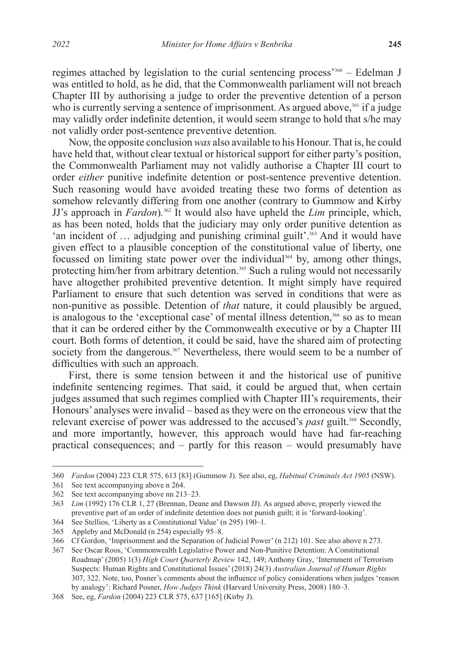regimes attached by legislation to the curial sentencing process'360 *–* Edelman J was entitled to hold, as he did, that the Commonwealth parliament will not breach Chapter III by authorising a judge to order the preventive detention of a person who is currently serving a sentence of imprisonment. As argued above,  $361$  if a judge may validly order indefinite detention, it would seem strange to hold that s/he may not validly order post-sentence preventive detention.

Now, the opposite conclusion *was* also available to his Honour. That is, he could have held that, without clear textual or historical support for either party's position, the Commonwealth Parliament may not validly authorise a Chapter III court to order *either* punitive indefinite detention or post-sentence preventive detention. Such reasoning would have avoided treating these two forms of detention as somehow relevantly differing from one another (contrary to Gummow and Kirby JJ's approach in *Fardon*)*.* 362 It would also have upheld the *Lim* principle, which, as has been noted, holds that the judiciary may only order punitive detention as 'an incident of  $\ldots$  adjudging and punishing criminal guilt'.<sup>363</sup> And it would have given effect to a plausible conception of the constitutional value of liberty, one focussed on limiting state power over the individual<sup>364</sup> by, among other things, protecting him/her from arbitrary detention.<sup>365</sup> Such a ruling would not necessarily have altogether prohibited preventive detention. It might simply have required Parliament to ensure that such detention was served in conditions that were as non-punitive as possible. Detention of *that* nature, it could plausibly be argued, is analogous to the 'exceptional case' of mental illness detention,<sup>366</sup> so as to mean that it can be ordered either by the Commonwealth executive or by a Chapter III court. Both forms of detention, it could be said, have the shared aim of protecting society from the dangerous.<sup>367</sup> Nevertheless, there would seem to be a number of difficulties with such an approach.

First, there is some tension between it and the historical use of punitive indefinite sentencing regimes. That said, it could be argued that, when certain judges assumed that such regimes complied with Chapter III's requirements, their Honours' analyses were invalid *–* based as they were on the erroneous view that the relevant exercise of power was addressed to the accused's *past* guilt.<sup>368</sup> Secondly, and more importantly, however, this approach would have had far-reaching practical consequences; and *–* partly for this reason *–* would presumably have

<sup>360</sup> *Fardon* (2004) 223 CLR 575, 613 [83] (Gummow J). See also, eg, *Habitual Criminals Act 1905* (NSW).

<sup>361</sup> See text accompanying above n 264.

<sup>362</sup> See text accompanying above nn 213–23.

<sup>363</sup> *Lim* (1992) 176 CLR 1, 27 (Brennan, Deane and Dawson JJ). As argued above, properly viewed the preventive part of an order of indefinite detention does not punish guilt; it is 'forward-looking'.

<sup>364</sup> See Stellios, 'Liberty as a Constitutional Value' (n 295) 190–1. 365 Appleby and McDonald (n 254) especially 95–8.

<sup>366</sup> Cf Gordon, 'Imprisonment and the Separation of Judicial Power' (n 212) 101. See also above n 273.

<sup>367</sup> See Oscar Roos, 'Commonwealth Legislative Power and Non-Punitive Detention: A Constitutional Roadmap' (2005) 1(3) *High Court Quarterly Review* 142, 149; Anthony Gray, 'Internment of Terrorism Suspects: Human Rights and Constitutional Issues' (2018) 24(3) *Australian Journal of Human Rights*  307, 322. Note, too, Posner's comments about the influence of policy considerations when judges 'reason by analogy': Richard Posner, *How Judges Think* (Harvard University Press, 2008) 180–3.

<sup>368</sup> See, eg, *Fardon* (2004) 223 CLR 575, 637 [165] (Kirby J).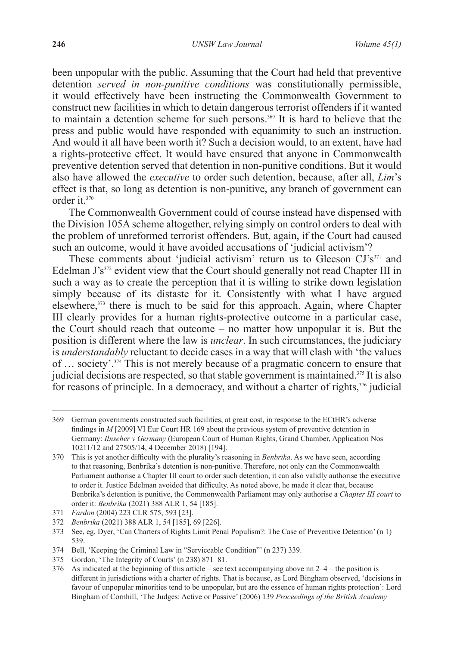been unpopular with the public. Assuming that the Court had held that preventive detention *served in non-punitive conditions* was constitutionally permissible, it would effectively have been instructing the Commonwealth Government to construct new facilities in which to detain dangerous terrorist offenders if it wanted to maintain a detention scheme for such persons.369 It is hard to believe that the press and public would have responded with equanimity to such an instruction. And would it all have been worth it? Such a decision would, to an extent, have had a rights-protective effect. It would have ensured that anyone in Commonwealth preventive detention served that detention in non-punitive conditions. But it would also have allowed the *executive* to order such detention, because, after all, *Lim*'s effect is that, so long as detention is non-punitive, any branch of government can order it.<sup>370</sup>

The Commonwealth Government could of course instead have dispensed with the Division 105A scheme altogether, relying simply on control orders to deal with the problem of unreformed terrorist offenders. But, again, if the Court had caused such an outcome, would it have avoided accusations of 'judicial activism'?

These comments about 'judicial activism' return us to Gleeson  $\mathrm{CI}^s$ <sup>371</sup> and Edelman J's<sup>372</sup> evident view that the Court should generally not read Chapter III in such a way as to create the perception that it is willing to strike down legislation simply because of its distaste for it. Consistently with what I have argued elsewhere,<sup>373</sup> there is much to be said for this approach. Again, where Chapter III clearly provides for a human rights-protective outcome in a particular case, the Court should reach that outcome *–* no matter how unpopular it is. But the position is different where the law is *unclear*. In such circumstances, the judiciary is *understandably* reluctant to decide cases in a way that will clash with 'the values of … society'.374 This is not merely because of a pragmatic concern to ensure that judicial decisions are respected, so that stable government is maintained.<sup>375</sup> It is also for reasons of principle. In a democracy, and without a charter of rights,<sup>376</sup> judicial

<sup>369</sup> German governments constructed such facilities, at great cost, in response to the ECtHR's adverse findings in *M* [2009] VI Eur Court HR 169 about the previous system of preventive detention in Germany: *Ilnseher v Germany* (European Court of Human Rights, Grand Chamber, Application Nos 10211/12 and 27505/14, 4 December 2018) [194].

<sup>370</sup> This is yet another difficulty with the plurality's reasoning in *Benbrika*. As we have seen, according to that reasoning, Benbrika's detention is non-punitive. Therefore, not only can the Commonwealth Parliament authorise a Chapter III court to order such detention, it can also validly authorise the executive to order it. Justice Edelman avoided that difficulty. As noted above, he made it clear that, because Benbrika's detention is punitive, the Commonwealth Parliament may only authorise a *Chapter III court* to order it: *Benbrika* (2021) 388 ALR 1, 54 [185].

<sup>371</sup> *Fardon* (2004) 223 CLR 575, 593 [23].

<sup>372</sup> *Benbrika* (2021) 388 ALR 1, 54 [185], 69 [226].

<sup>373</sup> See, eg, Dyer, 'Can Charters of Rights Limit Penal Populism?: The Case of Preventive Detention' (n 1) 539.

<sup>374</sup> Bell, 'Keeping the Criminal Law in "Serviceable Condition"' (n 237) 339.

<sup>375</sup> Gordon, 'The Integrity of Courts' (n 238) 871–81.

<sup>376</sup> As indicated at the beginning of this article – see text accompanying above nn 2–4 – the position is different in jurisdictions with a charter of rights. That is because, as Lord Bingham observed, 'decisions in favour of unpopular minorities tend to be unpopular, but are the essence of human rights protection': Lord Bingham of Cornhill, 'The Judges: Active or Passive' (2006) 139 *Proceedings of the British Academy*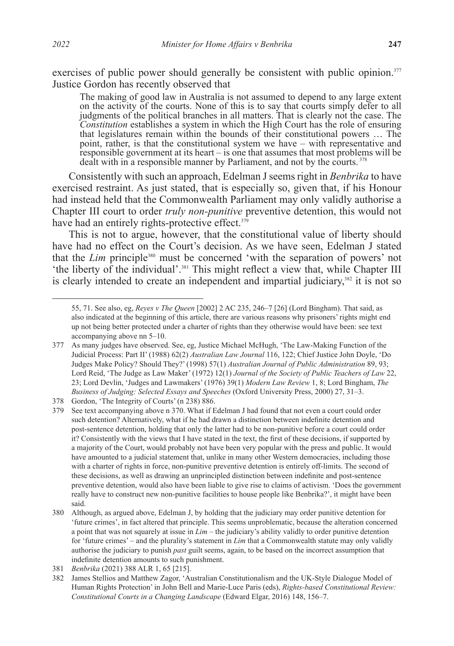exercises of public power should generally be consistent with public opinion.<sup>377</sup> Justice Gordon has recently observed that

The making of good law in Australia is not assumed to depend to any large extent on the activity of the courts. None of this is to say that courts simply defer to all judgments of the political branches in all matters. That is clearly not the case. The *Constitution* establishes a system in which the High Court has the role of ensuring that legislatures remain within the bounds of their constitutional powers … The point, rather, is that the constitutional system we have *–* with representative and responsible government at its heart *–* is one that assumes that most problems will be dealt with in a responsible manner by Parliament, and not by the courts.<sup>378</sup>

Consistently with such an approach, Edelman J seems right in *Benbrika* to have exercised restraint. As just stated, that is especially so, given that, if his Honour had instead held that the Commonwealth Parliament may only validly authorise a Chapter III court to order *truly non-punitive* preventive detention, this would not have had an entirely rights-protective effect.<sup>379</sup>

This is not to argue, however, that the constitutional value of liberty should have had no effect on the Court's decision. As we have seen, Edelman J stated that the *Lim* principle<sup>380</sup> must be concerned 'with the separation of powers' not 'the liberty of the individual'.381 This might reflect a view that, while Chapter III is clearly intended to create an independent and impartial judiciary,<sup>382</sup> it is not so

<sup>55, 71.</sup> See also, eg, *Reyes v The Queen* [2002] 2 AC 235, 246–7 [26] (Lord Bingham). That said, as also indicated at the beginning of this article, there are various reasons why prisoners' rights might end up not being better protected under a charter of rights than they otherwise would have been: see text accompanying above nn 5–10.

<sup>377</sup> As many judges have observed. See, eg, Justice Michael McHugh, 'The Law-Making Function of the Judicial Process: Part II' (1988) 62(2) *Australian Law Journal* 116, 122; Chief Justice John Doyle, 'Do Judges Make Policy? Should They?' (1998) 57(1) *Australian Journal of Public Administration* 89, 93; Lord Reid, 'The Judge as Law Maker' (1972) 12(1) *Journal of the Society of Public Teachers of Law* 22, 23; Lord Devlin, 'Judges and Lawmakers' (1976) 39(1) *Modern Law Review* 1, 8; Lord Bingham, *The Business of Judging: Selected Essays and Speeches* (Oxford University Press, 2000) 27, 31–3.

<sup>378</sup> Gordon, 'The Integrity of Courts' (n 238) 886.

<sup>379</sup> See text accompanying above n 370. What if Edelman J had found that not even a court could order such detention? Alternatively, what if he had drawn a distinction between indefinite detention and post-sentence detention, holding that only the latter had to be non-punitive before a court could order it? Consistently with the views that I have stated in the text, the first of these decisions, if supported by a majority of the Court, would probably not have been very popular with the press and public. It would have amounted to a judicial statement that, unlike in many other Western democracies, including those with a charter of rights in force, non-punitive preventive detention is entirely off-limits. The second of these decisions, as well as drawing an unprincipled distinction between indefinite and post-sentence preventive detention, would also have been liable to give rise to claims of activism. 'Does the government really have to construct new non-punitive facilities to house people like Benbrika?', it might have been said.

<sup>380</sup> Although, as argued above, Edelman J, by holding that the judiciary may order punitive detention for 'future crimes', in fact altered that principle. This seems unproblematic, because the alteration concerned a point that was not squarely at issue in *Lim –* the judiciary's ability validly to order punitive detention for 'future crimes' *–* and the plurality's statement in *Lim* that a Commonwealth statute may only validly authorise the judiciary to punish *past* guilt seems, again, to be based on the incorrect assumption that indefinite detention amounts to such punishment.

<sup>381</sup> *Benbrika* (2021) 388 ALR 1, 65 [215].

<sup>382</sup> James Stellios and Matthew Zagor, 'Australian Constitutionalism and the UK-Style Dialogue Model of Human Rights Protection' in John Bell and Marie-Luce Paris (eds), *Rights-based Constitutional Review: Constitutional Courts in a Changing Landscape* (Edward Elgar, 2016) 148, 156–7.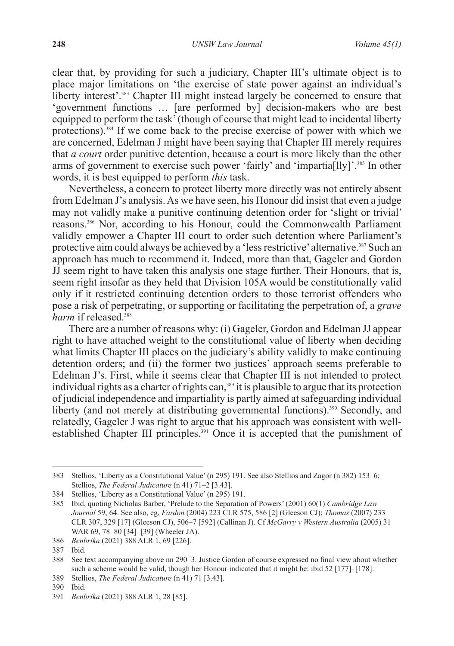clear that, by providing for such a judiciary, Chapter III's ultimate object is to place major limitations on 'the exercise of state power against an individual's liberty interest'.<sup>383</sup> Chapter III might instead largely be concerned to ensure that 'government functions … [are performed by] decision-makers who are best equipped to perform the task' (though of course that might lead to incidental liberty protections).384 If we come back to the precise exercise of power with which we are concerned, Edelman J might have been saying that Chapter III merely requires that *a court* order punitive detention, because a court is more likely than the other arms of government to exercise such power 'fairly' and 'impartia[lly]'.385 In other words, it is best equipped to perform *this* task.

Nevertheless, a concern to protect liberty more directly was not entirely absent from Edelman J's analysis. As we have seen, his Honour did insist that even a judge may not validly make a punitive continuing detention order for 'slight or trivial' reasons.386 Nor, according to his Honour, could the Commonwealth Parliament validly empower a Chapter III court to order such detention where Parliament's protective aim could always be achieved by a 'less restrictive' alternative.387 Such an approach has much to recommend it. Indeed, more than that, Gageler and Gordon  $J\bar{J}$  seem right to have taken this analysis one stage further. Their Honours, that is, seem right insofar as they held that Division 105A would be constitutionally valid only if it restricted continuing detention orders to those terrorist offenders who pose a risk of perpetrating, or supporting or facilitating the perpetration of, a *grave*  harm if released.<sup>388</sup>

There are a number of reasons why: (i) Gageler, Gordon and Edelman JJ appear right to have attached weight to the constitutional value of liberty when deciding what limits Chapter III places on the judiciary's ability validly to make continuing detention orders; and (ii) the former two justices' approach seems preferable to Edelman J's. First, while it seems clear that Chapter III is not intended to protect individual rights as a charter of rights can,<sup>389</sup> it is plausible to argue that its protection of judicial independence and impartiality is partly aimed at safeguarding individual liberty (and not merely at distributing governmental functions).<sup>390</sup> Secondly, and relatedly, Gageler J was right to argue that his approach was consistent with wellestablished Chapter III principles.<sup>391</sup> Once it is accepted that the punishment of

<sup>383</sup> Stellios, 'Liberty as a Constitutional Value' (n 295) 191. See also Stellios and Zagor (n 382) 153–6; Stellios, *The Federal Judicature* (n 41) 71–2 [3.43].

<sup>384</sup> Stellios, 'Liberty as a Constitutional Value' (n 295) 191.

<sup>385</sup> Ibid, quoting Nicholas Barber, 'Prelude to the Separation of Powers' (2001) 60(1) *Cambridge Law Journal* 59, 64. See also, eg, *Fardon* (2004) 223 CLR 575, 586 [2] (Gleeson CJ); *Thomas* (2007) 233 CLR 307, 329 [17] (Gleeson CJ), 506–7 [592] (Callinan J). Cf *McGarry v Western Australia* (2005) 31 WAR 69, 78–80 [34]–[39] (Wheeler JA).

<sup>386</sup> *Benbrika* (2021) 388 ALR 1, 69 [226].

<sup>387</sup> Ibid.

<sup>388</sup> See text accompanying above nn 290–3. Justice Gordon of course expressed no final view about whether such a scheme would be valid, though her Honour indicated that it might be: ibid 52 [177]–[178].

<sup>389</sup> Stellios, *The Federal Judicature* (n 41) 71 [3.43].

<sup>390</sup> Ibid.

<sup>391</sup> *Benbrika* (2021) 388 ALR 1, 28 [85].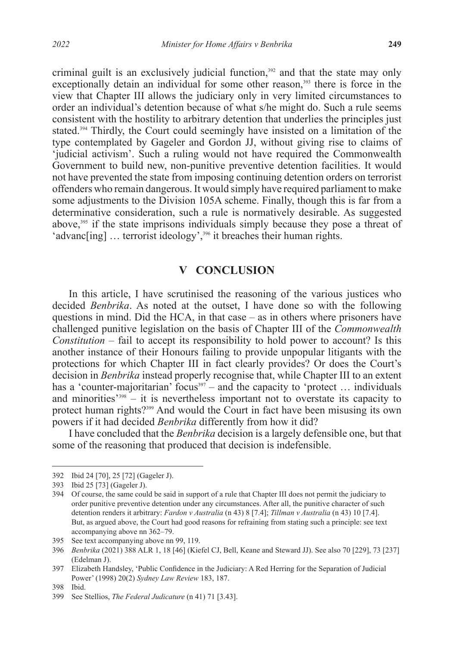criminal guilt is an exclusively judicial function,<sup>392</sup> and that the state may only exceptionally detain an individual for some other reason,<sup>393</sup> there is force in the view that Chapter III allows the judiciary only in very limited circumstances to order an individual's detention because of what s/he might do. Such a rule seems consistent with the hostility to arbitrary detention that underlies the principles just stated.<sup>394</sup> Thirdly, the Court could seemingly have insisted on a limitation of the type contemplated by Gageler and Gordon JJ, without giving rise to claims of 'judicial activism'. Such a ruling would not have required the Commonwealth Government to build new, non-punitive preventive detention facilities. It would not have prevented the state from imposing continuing detention orders on terrorist offenders who remain dangerous. It would simply have required parliament to make some adjustments to the Division 105A scheme. Finally, though this is far from a determinative consideration, such a rule is normatively desirable. As suggested above,<sup>395</sup> if the state imprisons individuals simply because they pose a threat of 'advanc[ing] ... terrorist ideology',<sup>396</sup> it breaches their human rights.

## **V CONCLUSION**

In this article, I have scrutinised the reasoning of the various justices who decided *Benbrika*. As noted at the outset, I have done so with the following questions in mind. Did the HCA, in that case  $-$  as in others where prisoners have challenged punitive legislation on the basis of Chapter III of the *Commonwealth Constitution* – fail to accept its responsibility to hold power to account? Is this another instance of their Honours failing to provide unpopular litigants with the protections for which Chapter III in fact clearly provides? Or does the Court's decision in *Benbrika* instead properly recognise that, while Chapter III to an extent has a 'counter-majoritarian' focus<sup>397</sup> – and the capacity to 'protect ... individuals and minorities<sup> $2398$ </sup> – it is nevertheless important not to overstate its capacity to protect human rights?<sup>399</sup> And would the Court in fact have been misusing its own powers if it had decided *Benbrika* differently from how it did?

I have concluded that the *Benbrika* decision is a largely defensible one, but that some of the reasoning that produced that decision is indefensible.

<sup>392</sup> Ibid 24 [70], 25 [72] (Gageler J).

<sup>393</sup> Ibid 25 [73] (Gageler J).

<sup>394</sup> Of course, the same could be said in support of a rule that Chapter III does not permit the judiciary to order punitive preventive detention under any circumstances. After all, the punitive character of such detention renders it arbitrary: *Fardon v Australia* (n 43) 8 [7.4]; *Tillman v Australia* (n 43) 10 [7.4]. But, as argued above, the Court had good reasons for refraining from stating such a principle: see text accompanying above nn 362–79.

<sup>395</sup> See text accompanying above nn 99, 119.

<sup>396</sup> *Benbrika* (2021) 388 ALR 1, 18 [46] (Kiefel CJ, Bell, Keane and Steward JJ). See also 70 [229], 73 [237] (Edelman J).

<sup>397</sup> Elizabeth Handsley, 'Public Confidence in the Judiciary: A Red Herring for the Separation of Judicial Power' (1998) 20(2) *Sydney Law Review* 183, 187.

<sup>398</sup> Ibid.

<sup>399</sup> See Stellios, *The Federal Judicature* (n 41) 71 [3.43].